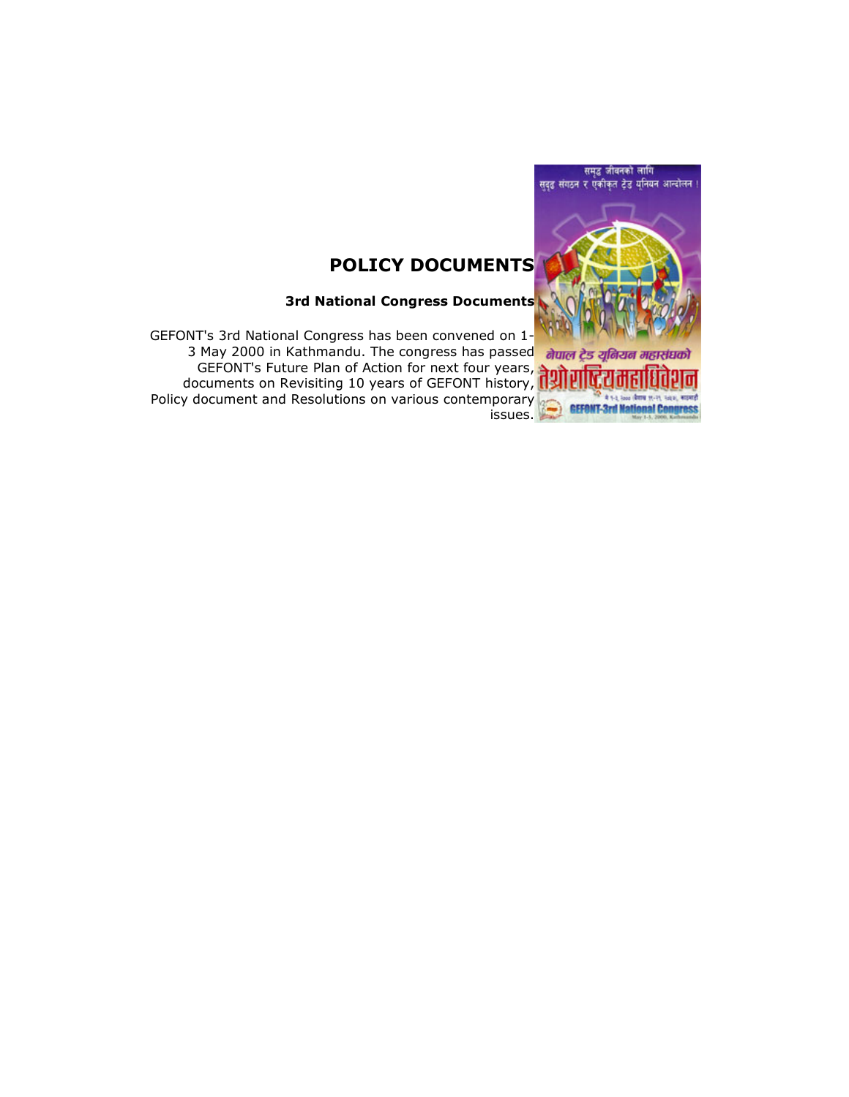

# POLICY DOCUMENTS

3rd National Congress Documents

GEFONT's 3rd National Congress has been convened on 1- त्या 3 Sta National Songress has seen semi-sites as passed **alum ट्रेड** *यूबियब* **13 May 2000** in Kathmandu. The congress has passed **alum** ट्रेड *यूबियब* GEFONT's Future Plan of Action for next four years, documents on Revisiting 10 years of GEFONT history, Policy document and Resolutions on various contemporary issues.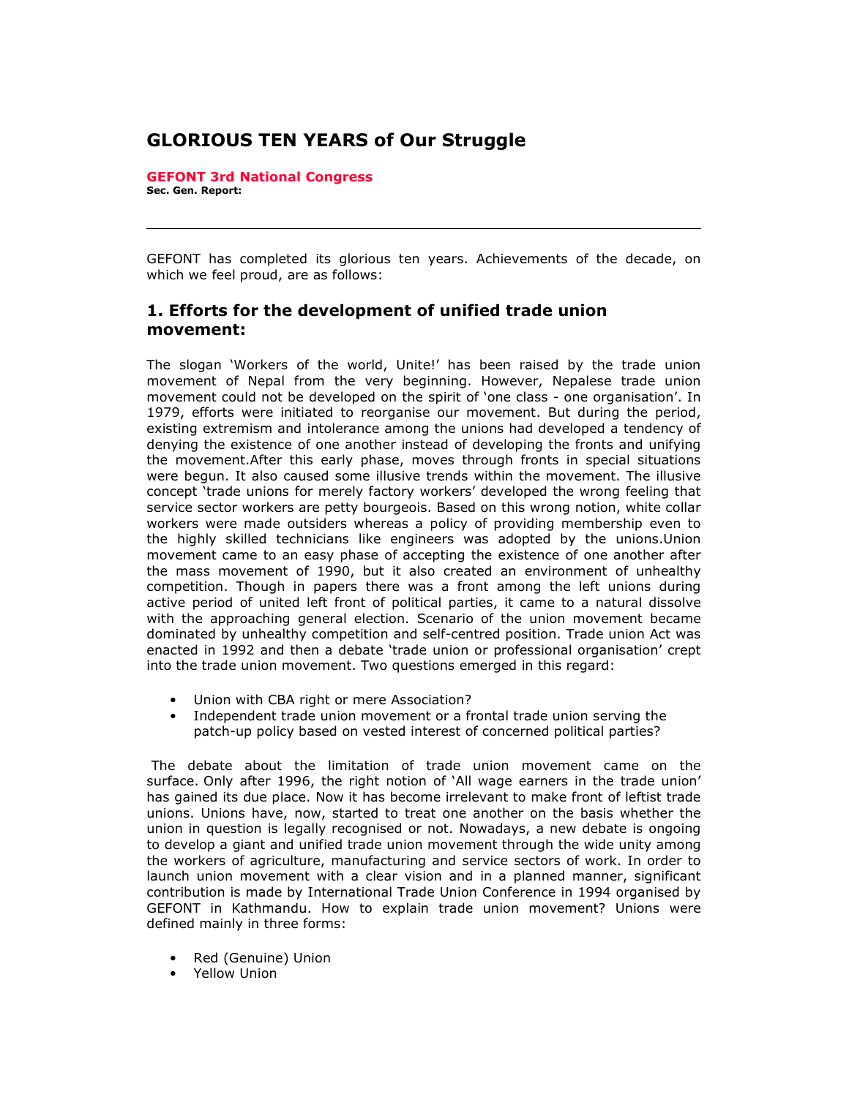# GLORIOUS TEN YEARS of Our Struggle

GEFONT 3rd National Congress Sec. Gen. Report:

GEFONT has completed its glorious ten years. Achievements of the decade, on which we feel proud, are as follows:

#### 1. Efforts for the development of unified trade union movement:

The slogan 'Workers of the world, Unite!' has been raised by the trade union movement of Nepal from the very beginning. However, Nepalese trade union movement could not be developed on the spirit of 'one class - one organisation'. In 1979, efforts were initiated to reorganise our movement. But during the period, existing extremism and intolerance among the unions had developed a tendency of denying the existence of one another instead of developing the fronts and unifying the movement.After this early phase, moves through fronts in special situations were begun. It also caused some illusive trends within the movement. The illusive concept 'trade unions for merely factory workers' developed the wrong feeling that service sector workers are petty bourgeois. Based on this wrong notion, white collar workers were made outsiders whereas a policy of providing membership even to the highly skilled technicians like engineers was adopted by the unions.Union movement came to an easy phase of accepting the existence of one another after the mass movement of 1990, but it also created an environment of unhealthy competition. Though in papers there was a front among the left unions during active period of united left front of political parties, it came to a natural dissolve with the approaching general election. Scenario of the union movement became dominated by unhealthy competition and self-centred position. Trade union Act was enacted in 1992 and then a debate 'trade union or professional organisation' crept into the trade union movement. Two questions emerged in this regard:

- Union with CBA right or mere Association?
- Independent trade union movement or a frontal trade union serving the patch-up policy based on vested interest of concerned political parties?

 The debate about the limitation of trade union movement came on the surface. Only after 1996, the right notion of 'All wage earners in the trade union' has gained its due place. Now it has become irrelevant to make front of leftist trade unions. Unions have, now, started to treat one another on the basis whether the union in question is legally recognised or not. Nowadays, a new debate is ongoing to develop a giant and unified trade union movement through the wide unity among the workers of agriculture, manufacturing and service sectors of work. In order to launch union movement with a clear vision and in a planned manner, significant contribution is made by International Trade Union Conference in 1994 organised by GEFONT in Kathmandu. How to explain trade union movement? Unions were defined mainly in three forms:

- Red (Genuine) Union
- Yellow Union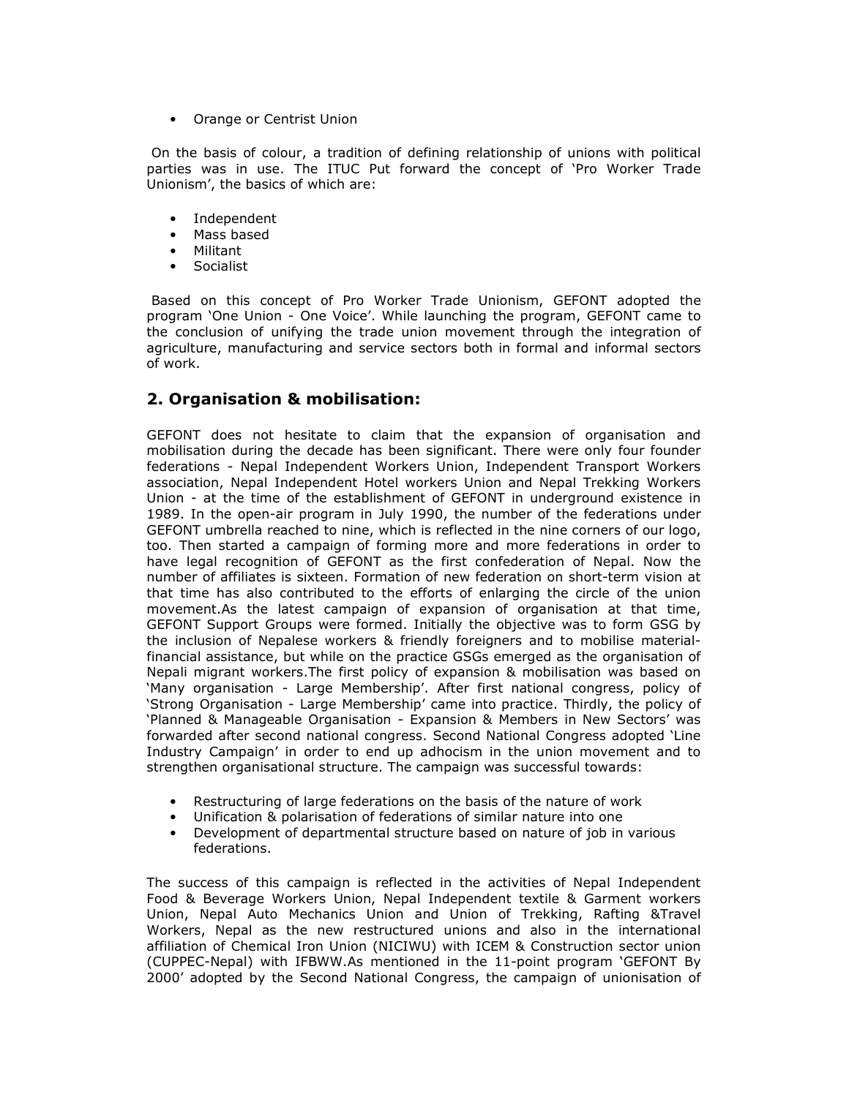• Orange or Centrist Union

 On the basis of colour, a tradition of defining relationship of unions with political parties was in use. The ITUC Put forward the concept of 'Pro Worker Trade Unionism', the basics of which are:

- Independent
- Mass based
- Militant
- **Socialist**

 Based on this concept of Pro Worker Trade Unionism, GEFONT adopted the program 'One Union - One Voice'. While launching the program, GEFONT came to the conclusion of unifying the trade union movement through the integration of agriculture, manufacturing and service sectors both in formal and informal sectors of work.

## 2. Organisation & mobilisation:

GEFONT does not hesitate to claim that the expansion of organisation and mobilisation during the decade has been significant. There were only four founder federations - Nepal Independent Workers Union, Independent Transport Workers association, Nepal Independent Hotel workers Union and Nepal Trekking Workers Union - at the time of the establishment of GEFONT in underground existence in 1989. In the open-air program in July 1990, the number of the federations under GEFONT umbrella reached to nine, which is reflected in the nine corners of our logo, too. Then started a campaign of forming more and more federations in order to have legal recognition of GEFONT as the first confederation of Nepal. Now the number of affiliates is sixteen. Formation of new federation on short-term vision at that time has also contributed to the efforts of enlarging the circle of the union movement.As the latest campaign of expansion of organisation at that time, GEFONT Support Groups were formed. Initially the objective was to form GSG by the inclusion of Nepalese workers & friendly foreigners and to mobilise materialfinancial assistance, but while on the practice GSGs emerged as the organisation of Nepali migrant workers.The first policy of expansion & mobilisation was based on 'Many organisation - Large Membership'. After first national congress, policy of 'Strong Organisation - Large Membership' came into practice. Thirdly, the policy of 'Planned & Manageable Organisation - Expansion & Members in New Sectors' was forwarded after second national congress. Second National Congress adopted 'Line Industry Campaign' in order to end up adhocism in the union movement and to strengthen organisational structure. The campaign was successful towards:

- Restructuring of large federations on the basis of the nature of work
- Unification & polarisation of federations of similar nature into one
- Development of departmental structure based on nature of job in various federations.

The success of this campaign is reflected in the activities of Nepal Independent Food & Beverage Workers Union, Nepal Independent textile & Garment workers Union, Nepal Auto Mechanics Union and Union of Trekking, Rafting &Travel Workers, Nepal as the new restructured unions and also in the international affiliation of Chemical Iron Union (NICIWU) with ICEM & Construction sector union (CUPPEC-Nepal) with IFBWW.As mentioned in the 11-point program 'GEFONT By 2000' adopted by the Second National Congress, the campaign of unionisation of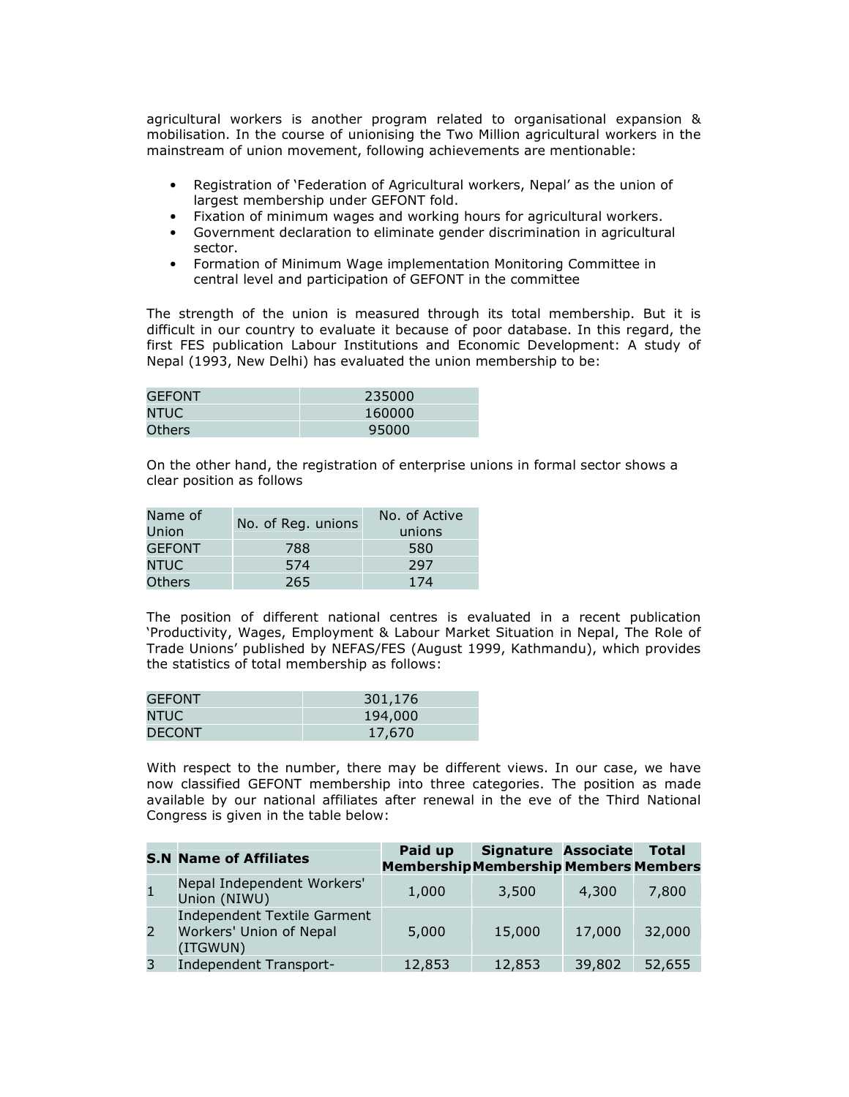agricultural workers is another program related to organisational expansion & mobilisation. In the course of unionising the Two Million agricultural workers in the mainstream of union movement, following achievements are mentionable:

- Registration of 'Federation of Agricultural workers, Nepal' as the union of largest membership under GEFONT fold.
- Fixation of minimum wages and working hours for agricultural workers.
- Government declaration to eliminate gender discrimination in agricultural sector.
- Formation of Minimum Wage implementation Monitoring Committee in central level and participation of GEFONT in the committee

The strength of the union is measured through its total membership. But it is difficult in our country to evaluate it because of poor database. In this regard, the first FES publication Labour Institutions and Economic Development: A study of Nepal (1993, New Delhi) has evaluated the union membership to be:

| <b>GEFONT</b> | 235000 |
|---------------|--------|
| <b>NTUC</b>   | 160000 |
| Others        | 95000  |

On the other hand, the registration of enterprise unions in formal sector shows a clear position as follows

| Name of<br>Union | No. of Reg. unions | No. of Active<br>unions |  |  |
|------------------|--------------------|-------------------------|--|--|
| <b>GEFONT</b>    | 788                | 580                     |  |  |
| NTUC.            | 574                | 297                     |  |  |
| Others           | 265                | 174                     |  |  |

The position of different national centres is evaluated in a recent publication 'Productivity, Wages, Employment & Labour Market Situation in Nepal, The Role of Trade Unions' published by NEFAS/FES (August 1999, Kathmandu), which provides the statistics of total membership as follows:

| <b>GEFONT</b> | 301,176 |
|---------------|---------|
| NTUC.         | 194,000 |
| <b>DECONT</b> | 17,670  |

With respect to the number, there may be different views. In our case, we have now classified GEFONT membership into three categories. The position as made available by our national affiliates after renewal in the eve of the Third National Congress is given in the table below:

|   | <b>S.N Name of Affiliates</b>                                             | Paid up<br><b>Membership Membership Members Members</b> | <b>Signature Associate</b> |        | <b>Total</b> |
|---|---------------------------------------------------------------------------|---------------------------------------------------------|----------------------------|--------|--------------|
|   | Nepal Independent Workers'<br>Union (NIWU)                                | 1,000                                                   | 3,500                      | 4,300  | 7,800        |
| 2 | <b>Independent Textile Garment</b><br>Workers' Union of Nepal<br>(ITGWUN) | 5,000                                                   | 15,000                     | 17,000 | 32,000       |
| 3 | <b>Independent Transport-</b>                                             | 12,853                                                  | 12,853                     | 39,802 | 52,655       |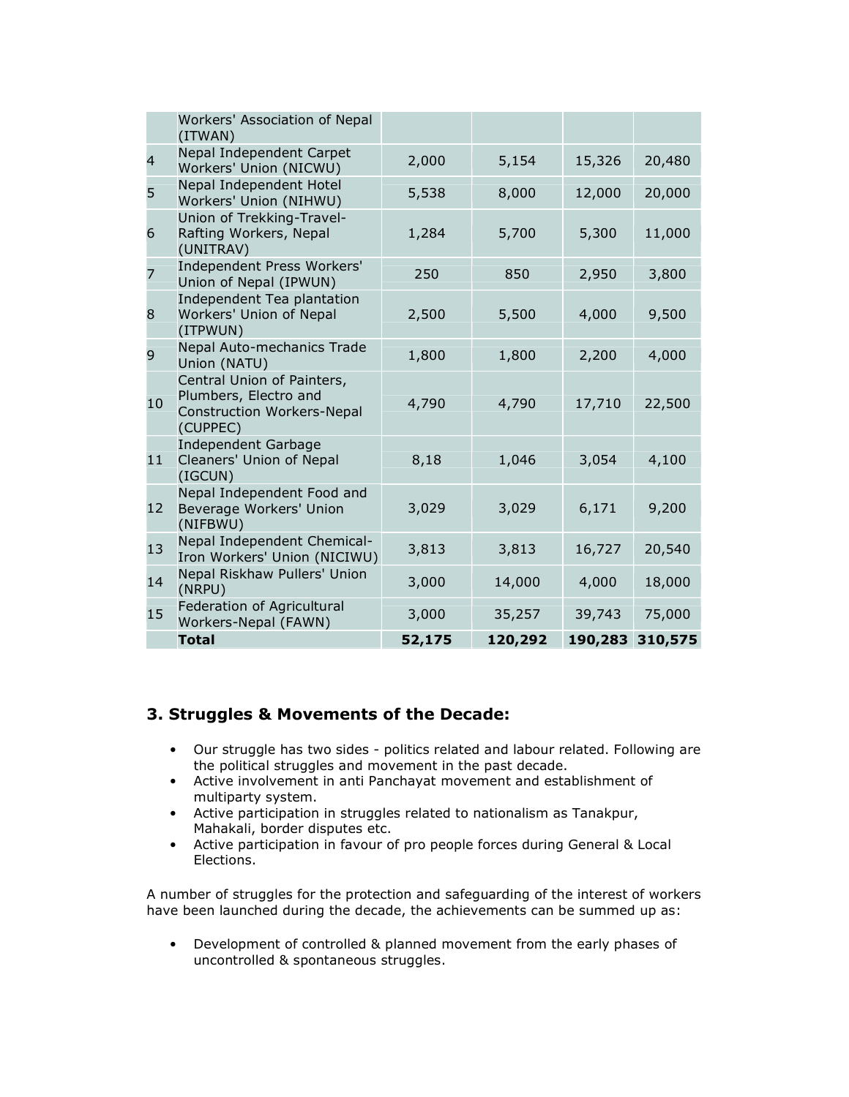|                | Workers' Association of Nepal<br>(ITWAN)                                                             |        |         |         |         |
|----------------|------------------------------------------------------------------------------------------------------|--------|---------|---------|---------|
| $\overline{4}$ | Nepal Independent Carpet<br>Workers' Union (NICWU)                                                   | 2,000  | 5,154   | 15,326  | 20,480  |
| 5              | Nepal Independent Hotel<br>Workers' Union (NIHWU)                                                    | 5,538  | 8,000   | 12,000  | 20,000  |
| 6              | Union of Trekking-Travel-<br>Rafting Workers, Nepal<br>(UNITRAV)                                     | 1,284  | 5,700   | 5,300   | 11,000  |
| $\overline{7}$ | Independent Press Workers'<br>Union of Nepal (IPWUN)                                                 | 250    | 850     | 2,950   | 3,800   |
| 8              | Independent Tea plantation<br>Workers' Union of Nepal<br>(ITPWUN)                                    | 2,500  | 5,500   | 4,000   | 9,500   |
| 9              | Nepal Auto-mechanics Trade<br>Union (NATU)                                                           | 1,800  | 1,800   | 2,200   | 4,000   |
| 10             | Central Union of Painters,<br>Plumbers, Electro and<br><b>Construction Workers-Nepal</b><br>(CUPPEC) | 4,790  | 4,790   | 17,710  | 22,500  |
| 11             | <b>Independent Garbage</b><br>Cleaners' Union of Nepal<br>(IGCUN)                                    | 8,18   | 1,046   | 3,054   | 4,100   |
| 12             | Nepal Independent Food and<br>Beverage Workers' Union<br>(NIFBWU)                                    | 3,029  | 3,029   | 6,171   | 9,200   |
| 13             | Nepal Independent Chemical-<br>Iron Workers' Union (NICIWU)                                          | 3,813  | 3,813   | 16,727  | 20,540  |
| 14             | Nepal Riskhaw Pullers' Union<br>(NRPU)                                                               | 3,000  | 14,000  | 4,000   | 18,000  |
| 15             | Federation of Agricultural<br>Workers-Nepal (FAWN)                                                   | 3,000  | 35,257  | 39,743  | 75,000  |
|                | <b>Total</b>                                                                                         | 52,175 | 120,292 | 190,283 | 310,575 |

## 3. Struggles & Movements of the Decade:

- Our struggle has two sides politics related and labour related. Following are the political struggles and movement in the past decade.
- Active involvement in anti Panchayat movement and establishment of multiparty system.
- Active participation in struggles related to nationalism as Tanakpur, Mahakali, border disputes etc.
- Active participation in favour of pro people forces during General & Local Elections.

A number of struggles for the protection and safeguarding of the interest of workers have been launched during the decade, the achievements can be summed up as:

• Development of controlled & planned movement from the early phases of uncontrolled & spontaneous struggles.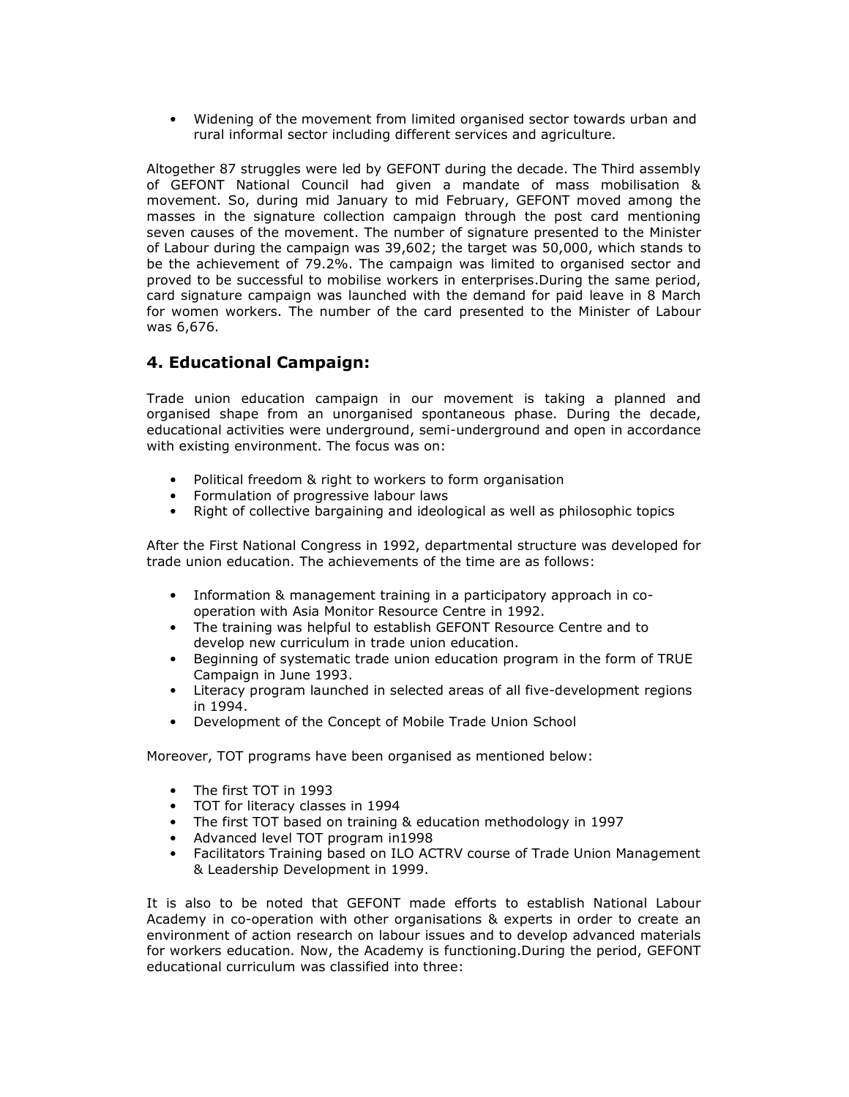• Widening of the movement from limited organised sector towards urban and rural informal sector including different services and agriculture.

Altogether 87 struggles were led by GEFONT during the decade. The Third assembly of GEFONT National Council had given a mandate of mass mobilisation & movement. So, during mid January to mid February, GEFONT moved among the masses in the signature collection campaign through the post card mentioning seven causes of the movement. The number of signature presented to the Minister of Labour during the campaign was 39,602; the target was 50,000, which stands to be the achievement of 79.2%. The campaign was limited to organised sector and proved to be successful to mobilise workers in enterprises.During the same period, card signature campaign was launched with the demand for paid leave in 8 March for women workers. The number of the card presented to the Minister of Labour was 6,676.

## 4. Educational Campaign:

Trade union education campaign in our movement is taking a planned and organised shape from an unorganised spontaneous phase. During the decade, educational activities were underground, semi-underground and open in accordance with existing environment. The focus was on:

- Political freedom & right to workers to form organisation
- Formulation of progressive labour laws
- Right of collective bargaining and ideological as well as philosophic topics

After the First National Congress in 1992, departmental structure was developed for trade union education. The achievements of the time are as follows:

- Information & management training in a participatory approach in cooperation with Asia Monitor Resource Centre in 1992.
- The training was helpful to establish GEFONT Resource Centre and to develop new curriculum in trade union education.
- Beginning of systematic trade union education program in the form of TRUE Campaign in June 1993.
- Literacy program launched in selected areas of all five-development regions in 1994.
- Development of the Concept of Mobile Trade Union School

Moreover, TOT programs have been organised as mentioned below:

- The first TOT in 1993
- TOT for literacy classes in 1994
- The first TOT based on training & education methodology in 1997
- Advanced level TOT program in1998
- Facilitators Training based on ILO ACTRV course of Trade Union Management & Leadership Development in 1999.

It is also to be noted that GEFONT made efforts to establish National Labour Academy in co-operation with other organisations & experts in order to create an environment of action research on labour issues and to develop advanced materials for workers education. Now, the Academy is functioning.During the period, GEFONT educational curriculum was classified into three: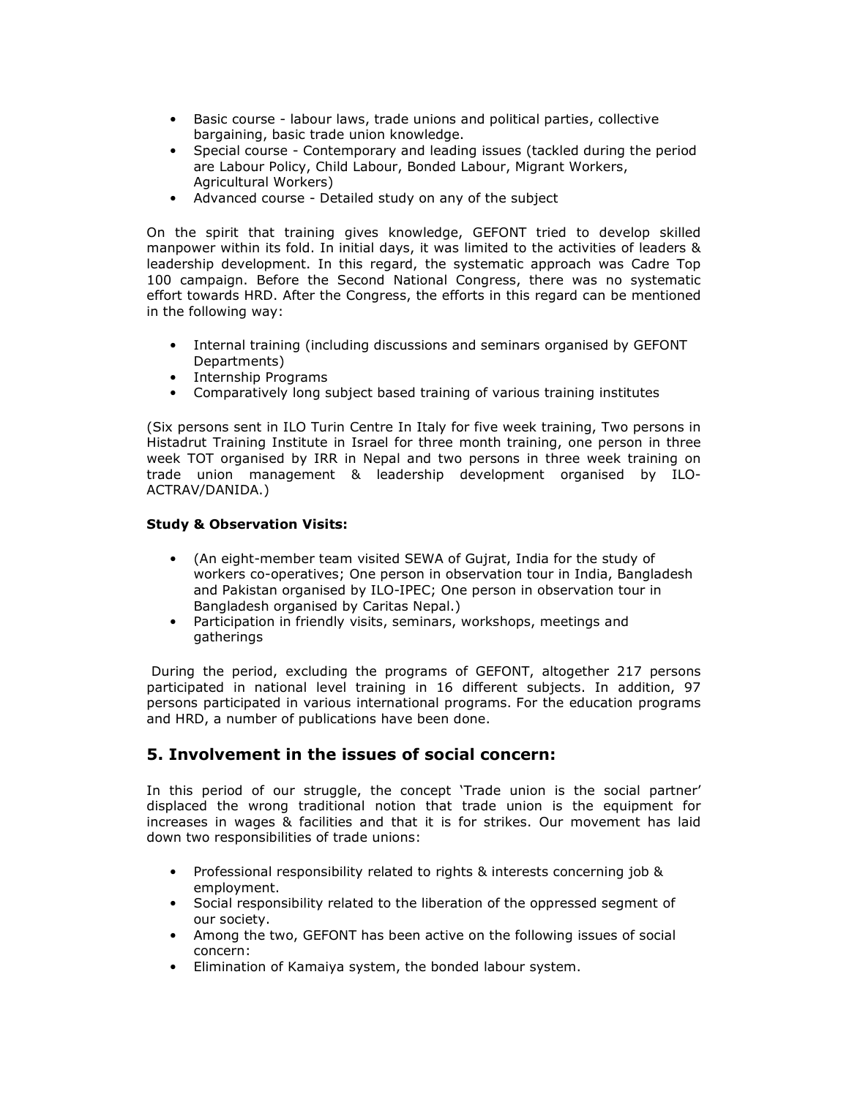- Basic course labour laws, trade unions and political parties, collective bargaining, basic trade union knowledge.
- Special course Contemporary and leading issues (tackled during the period are Labour Policy, Child Labour, Bonded Labour, Migrant Workers, Agricultural Workers)
- Advanced course Detailed study on any of the subject

On the spirit that training gives knowledge, GEFONT tried to develop skilled manpower within its fold. In initial days, it was limited to the activities of leaders & leadership development. In this regard, the systematic approach was Cadre Top 100 campaign. Before the Second National Congress, there was no systematic effort towards HRD. After the Congress, the efforts in this regard can be mentioned in the following way:

- Internal training (including discussions and seminars organised by GEFONT Departments)
- Internship Programs
- Comparatively long subject based training of various training institutes

(Six persons sent in ILO Turin Centre In Italy for five week training, Two persons in Histadrut Training Institute in Israel for three month training, one person in three week TOT organised by IRR in Nepal and two persons in three week training on trade union management & leadership development organised by ILO-ACTRAV/DANIDA.)

#### Study & Observation Visits:

- (An eight-member team visited SEWA of Gujrat, India for the study of workers co-operatives; One person in observation tour in India, Bangladesh and Pakistan organised by ILO-IPEC; One person in observation tour in Bangladesh organised by Caritas Nepal.)
- Participation in friendly visits, seminars, workshops, meetings and gatherings

 During the period, excluding the programs of GEFONT, altogether 217 persons participated in national level training in 16 different subjects. In addition, 97 persons participated in various international programs. For the education programs and HRD, a number of publications have been done.

#### 5. Involvement in the issues of social concern:

In this period of our struggle, the concept 'Trade union is the social partner' displaced the wrong traditional notion that trade union is the equipment for increases in wages & facilities and that it is for strikes. Our movement has laid down two responsibilities of trade unions:

- Professional responsibility related to rights & interests concerning job & employment.
- Social responsibility related to the liberation of the oppressed segment of our society.
- Among the two, GEFONT has been active on the following issues of social concern:
- Elimination of Kamaiya system, the bonded labour system.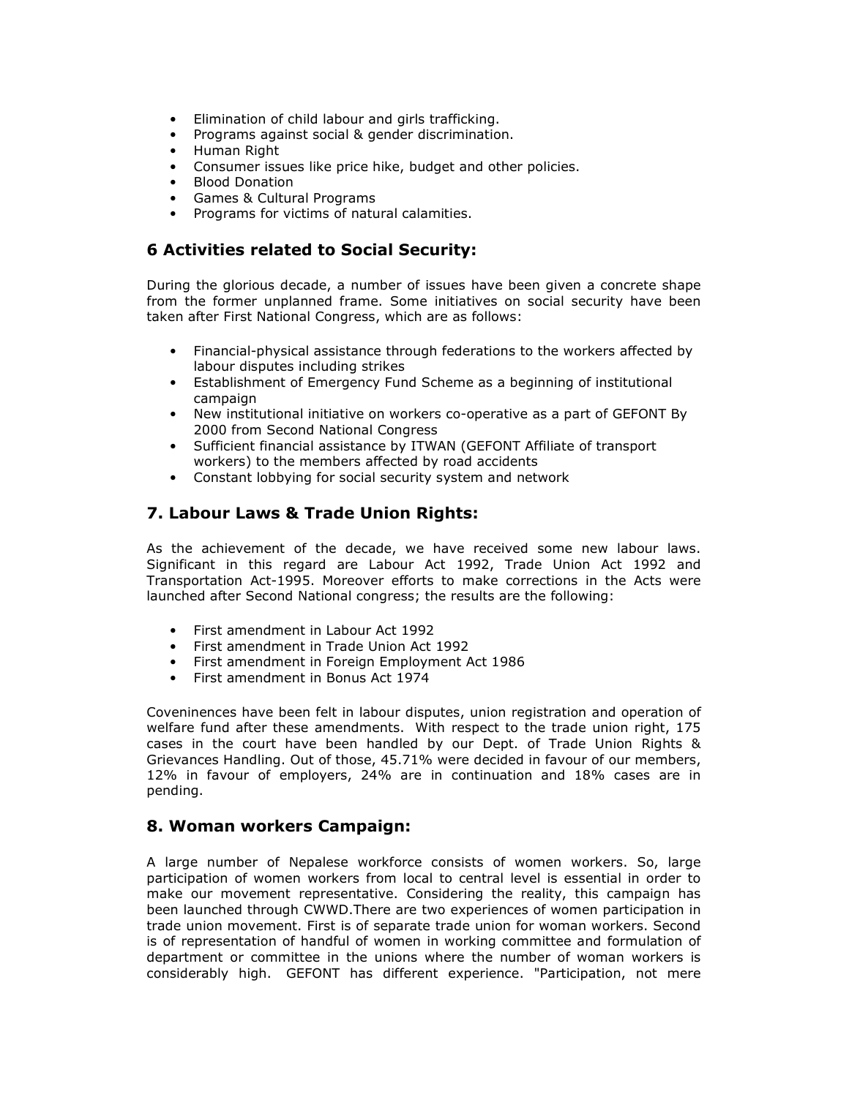- Elimination of child labour and girls trafficking.
- Programs against social & gender discrimination.
- Human Right
- Consumer issues like price hike, budget and other policies.
- Blood Donation
- Games & Cultural Programs
- Programs for victims of natural calamities.

### 6 Activities related to Social Security:

During the glorious decade, a number of issues have been given a concrete shape from the former unplanned frame. Some initiatives on social security have been taken after First National Congress, which are as follows:

- Financial-physical assistance through federations to the workers affected by labour disputes including strikes
- Establishment of Emergency Fund Scheme as a beginning of institutional campaign
- New institutional initiative on workers co-operative as a part of GEFONT By 2000 from Second National Congress
- Sufficient financial assistance by ITWAN (GEFONT Affiliate of transport workers) to the members affected by road accidents
- Constant lobbying for social security system and network

# 7. Labour Laws & Trade Union Rights:

As the achievement of the decade, we have received some new labour laws. Significant in this regard are Labour Act 1992, Trade Union Act 1992 and Transportation Act-1995. Moreover efforts to make corrections in the Acts were launched after Second National congress; the results are the following:

- First amendment in Labour Act 1992
- First amendment in Trade Union Act 1992
- First amendment in Foreign Employment Act 1986
- First amendment in Bonus Act 1974

Coveninences have been felt in labour disputes, union registration and operation of welfare fund after these amendments. With respect to the trade union right, 175 cases in the court have been handled by our Dept. of Trade Union Rights & Grievances Handling. Out of those, 45.71% were decided in favour of our members, 12% in favour of employers, 24% are in continuation and 18% cases are in pending.

#### 8. Woman workers Campaign:

A large number of Nepalese workforce consists of women workers. So, large participation of women workers from local to central level is essential in order to make our movement representative. Considering the reality, this campaign has been launched through CWWD.There are two experiences of women participation in trade union movement. First is of separate trade union for woman workers. Second is of representation of handful of women in working committee and formulation of department or committee in the unions where the number of woman workers is considerably high. GEFONT has different experience. "Participation, not mere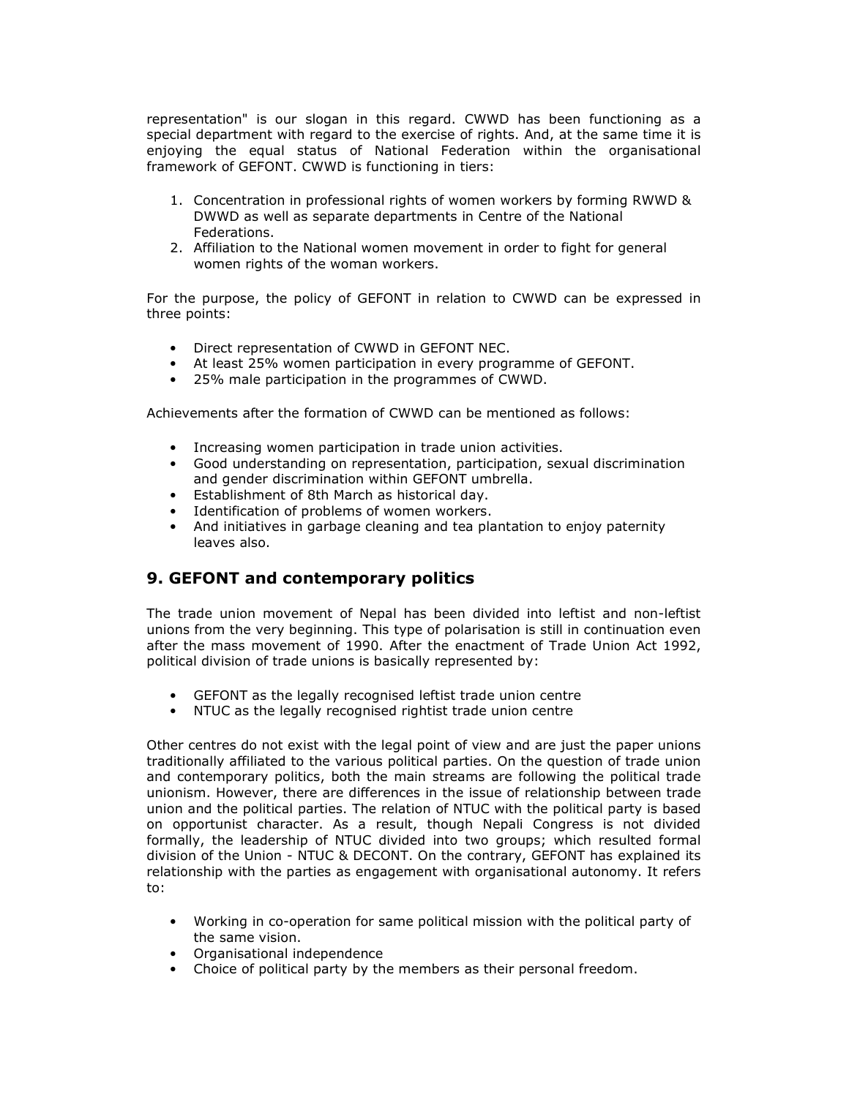representation" is our slogan in this regard. CWWD has been functioning as a special department with regard to the exercise of rights. And, at the same time it is enjoying the equal status of National Federation within the organisational framework of GEFONT. CWWD is functioning in tiers:

- 1. Concentration in professional rights of women workers by forming RWWD & DWWD as well as separate departments in Centre of the National Federations.
- 2. Affiliation to the National women movement in order to fight for general women rights of the woman workers.

For the purpose, the policy of GEFONT in relation to CWWD can be expressed in three points:

- Direct representation of CWWD in GEFONT NEC.
- At least 25% women participation in every programme of GEFONT.
- 25% male participation in the programmes of CWWD.

Achievements after the formation of CWWD can be mentioned as follows:

- Increasing women participation in trade union activities.
- Good understanding on representation, participation, sexual discrimination and gender discrimination within GEFONT umbrella.
- Establishment of 8th March as historical day.
- Identification of problems of women workers.
- And initiatives in garbage cleaning and tea plantation to enjoy paternity leaves also.

#### 9. GEFONT and contemporary politics

The trade union movement of Nepal has been divided into leftist and non-leftist unions from the very beginning. This type of polarisation is still in continuation even after the mass movement of 1990. After the enactment of Trade Union Act 1992, political division of trade unions is basically represented by:

- GEFONT as the legally recognised leftist trade union centre
- NTUC as the legally recognised rightist trade union centre

Other centres do not exist with the legal point of view and are just the paper unions traditionally affiliated to the various political parties. On the question of trade union and contemporary politics, both the main streams are following the political trade unionism. However, there are differences in the issue of relationship between trade union and the political parties. The relation of NTUC with the political party is based on opportunist character. As a result, though Nepali Congress is not divided formally, the leadership of NTUC divided into two groups; which resulted formal division of the Union - NTUC & DECONT. On the contrary, GEFONT has explained its relationship with the parties as engagement with organisational autonomy. It refers to:

- Working in co-operation for same political mission with the political party of the same vision.
- Organisational independence
- Choice of political party by the members as their personal freedom.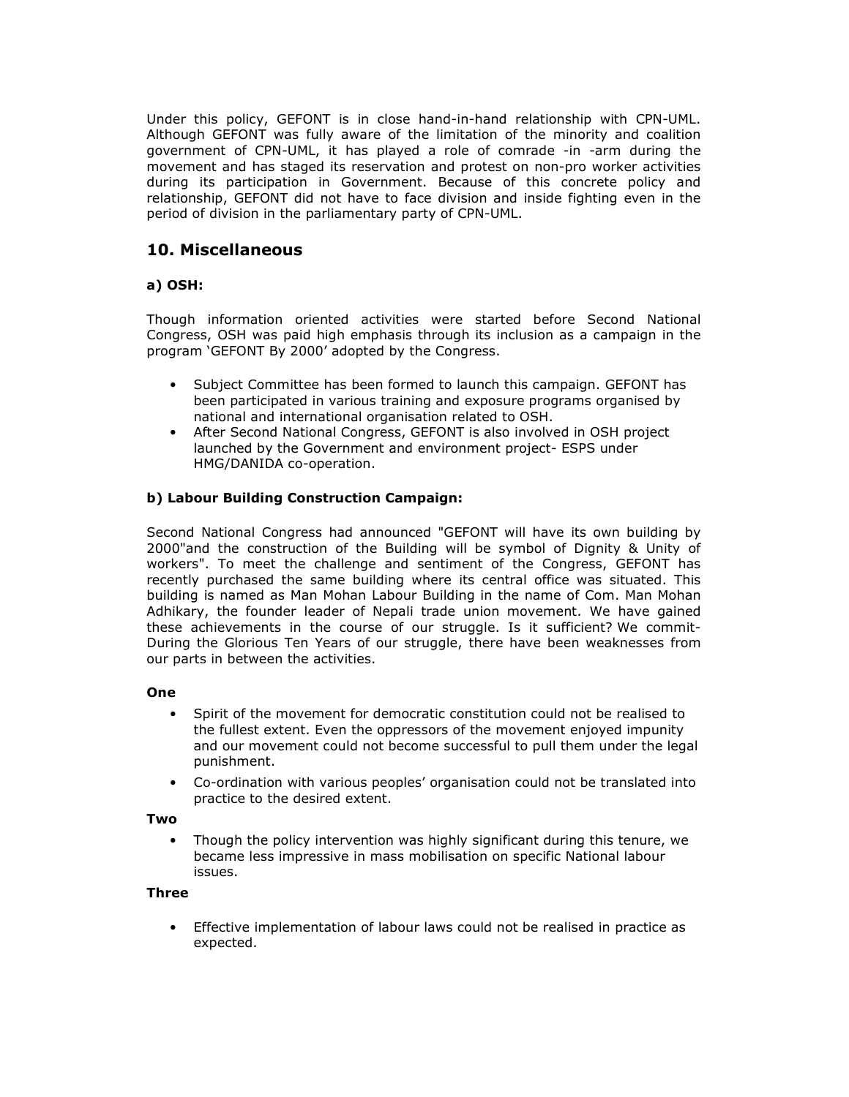Under this policy, GEFONT is in close hand-in-hand relationship with CPN-UML. Although GEFONT was fully aware of the limitation of the minority and coalition government of CPN-UML, it has played a role of comrade -in -arm during the movement and has staged its reservation and protest on non-pro worker activities during its participation in Government. Because of this concrete policy and relationship, GEFONT did not have to face division and inside fighting even in the period of division in the parliamentary party of CPN-UML.

## 10. Miscellaneous

#### a) OSH:

Though information oriented activities were started before Second National Congress, OSH was paid high emphasis through its inclusion as a campaign in the program 'GEFONT By 2000' adopted by the Congress.

- Subject Committee has been formed to launch this campaign. GEFONT has been participated in various training and exposure programs organised by national and international organisation related to OSH.
- After Second National Congress, GEFONT is also involved in OSH project launched by the Government and environment project- ESPS under HMG/DANIDA co-operation.

#### b) Labour Building Construction Campaign:

Second National Congress had announced "GEFONT will have its own building by 2000"and the construction of the Building will be symbol of Dignity & Unity of workers". To meet the challenge and sentiment of the Congress, GEFONT has recently purchased the same building where its central office was situated. This building is named as Man Mohan Labour Building in the name of Com. Man Mohan Adhikary, the founder leader of Nepali trade union movement. We have gained these achievements in the course of our struggle. Is it sufficient? We commit-During the Glorious Ten Years of our struggle, there have been weaknesses from our parts in between the activities.

#### One

- Spirit of the movement for democratic constitution could not be realised to the fullest extent. Even the oppressors of the movement enjoyed impunity and our movement could not become successful to pull them under the legal punishment.
- Co-ordination with various peoples' organisation could not be translated into practice to the desired extent.

#### Two

• Though the policy intervention was highly significant during this tenure, we became less impressive in mass mobilisation on specific National labour issues.

#### Three

• Effective implementation of labour laws could not be realised in practice as expected.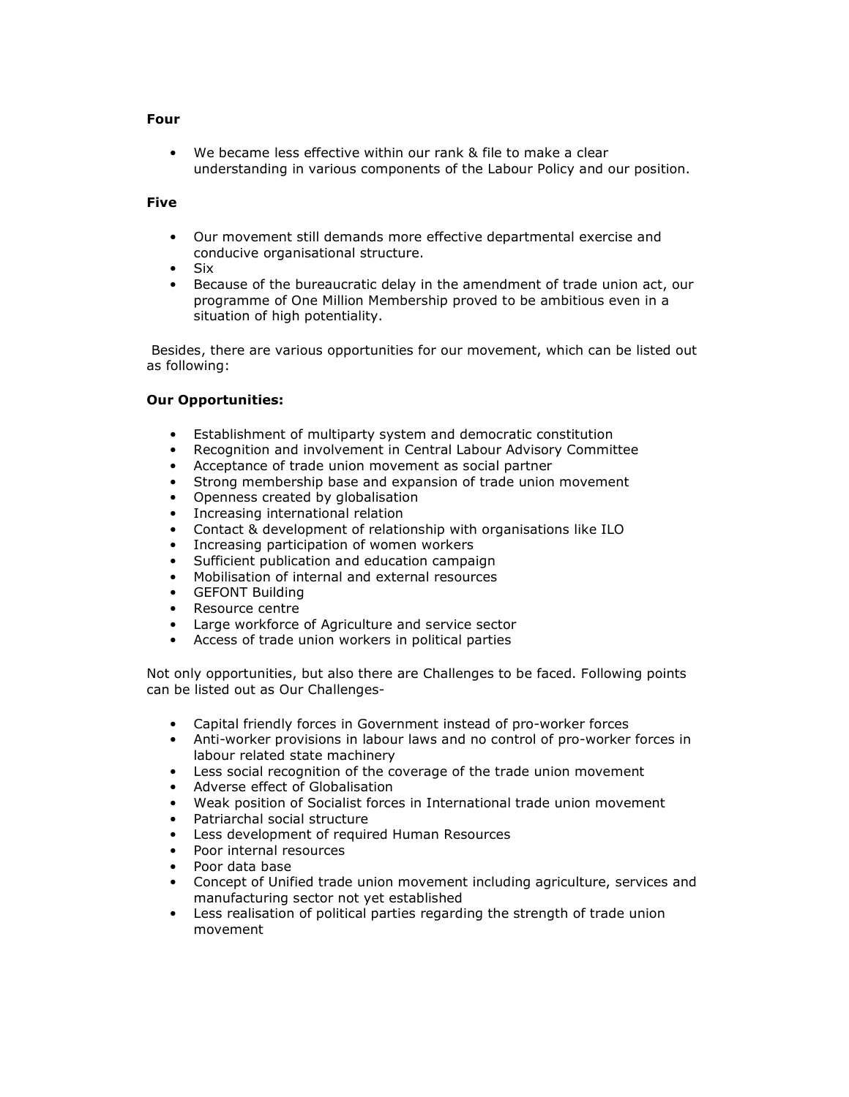#### Four

We became less effective within our rank & file to make a clear understanding in various components of the Labour Policy and our position.

#### Five

- Our movement still demands more effective departmental exercise and conducive organisational structure.
- Six
- Because of the bureaucratic delay in the amendment of trade union act, our programme of One Million Membership proved to be ambitious even in a situation of high potentiality.

 Besides, there are various opportunities for our movement, which can be listed out as following:

#### Our Opportunities:

- Establishment of multiparty system and democratic constitution
- Recognition and involvement in Central Labour Advisory Committee
- Acceptance of trade union movement as social partner
- Strong membership base and expansion of trade union movement
- Openness created by globalisation
- Increasing international relation
- Contact & development of relationship with organisations like ILO
- Increasing participation of women workers
- Sufficient publication and education campaign
- Mobilisation of internal and external resources
- GEFONT Building
- Resource centre
- Large workforce of Agriculture and service sector
- Access of trade union workers in political parties

Not only opportunities, but also there are Challenges to be faced. Following points can be listed out as Our Challenges-

- Capital friendly forces in Government instead of pro-worker forces
- Anti-worker provisions in labour laws and no control of pro-worker forces in labour related state machinery
- Less social recognition of the coverage of the trade union movement
- Adverse effect of Globalisation
- Weak position of Socialist forces in International trade union movement
- Patriarchal social structure
- Less development of required Human Resources
- Poor internal resources
- Poor data base
- Concept of Unified trade union movement including agriculture, services and manufacturing sector not yet established
- Less realisation of political parties regarding the strength of trade union movement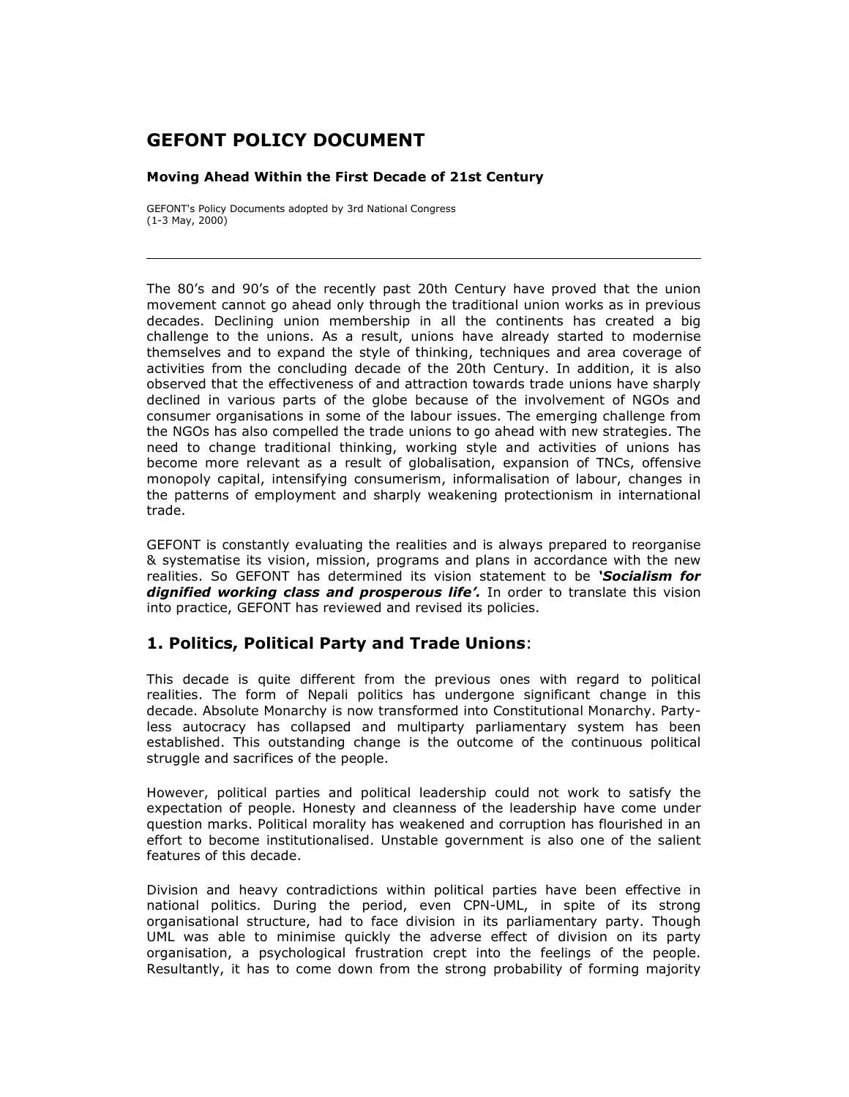# GEFONT POLICY DOCUMENT

#### Moving Ahead Within the First Decade of 21st Century

GEFONT's Policy Documents adopted by 3rd National Congress  $(1-3$  May, 2000)

The 80's and 90's of the recently past 20th Century have proved that the union movement cannot go ahead only through the traditional union works as in previous decades. Declining union membership in all the continents has created a big challenge to the unions. As a result, unions have already started to modernise themselves and to expand the style of thinking, techniques and area coverage of activities from the concluding decade of the 20th Century. In addition, it is also observed that the effectiveness of and attraction towards trade unions have sharply declined in various parts of the globe because of the involvement of NGOs and consumer organisations in some of the labour issues. The emerging challenge from the NGOs has also compelled the trade unions to go ahead with new strategies. The need to change traditional thinking, working style and activities of unions has become more relevant as a result of globalisation, expansion of TNCs, offensive monopoly capital, intensifying consumerism, informalisation of labour, changes in the patterns of employment and sharply weakening protectionism in international trade.

GEFONT is constantly evaluating the realities and is always prepared to reorganise & systematise its vision, mission, programs and plans in accordance with the new realities. So GEFONT has determined its vision statement to be 'Socialism for dignified working class and prosperous life'. In order to translate this vision into practice, GEFONT has reviewed and revised its policies.

#### 1. Politics, Political Party and Trade Unions:

This decade is quite different from the previous ones with regard to political realities. The form of Nepali politics has undergone significant change in this decade. Absolute Monarchy is now transformed into Constitutional Monarchy. Partyless autocracy has collapsed and multiparty parliamentary system has been established. This outstanding change is the outcome of the continuous political struggle and sacrifices of the people.

However, political parties and political leadership could not work to satisfy the expectation of people. Honesty and cleanness of the leadership have come under question marks. Political morality has weakened and corruption has flourished in an effort to become institutionalised. Unstable government is also one of the salient features of this decade.

Division and heavy contradictions within political parties have been effective in national politics. During the period, even CPN-UML, in spite of its strong organisational structure, had to face division in its parliamentary party. Though UML was able to minimise quickly the adverse effect of division on its party organisation, a psychological frustration crept into the feelings of the people. Resultantly, it has to come down from the strong probability of forming majority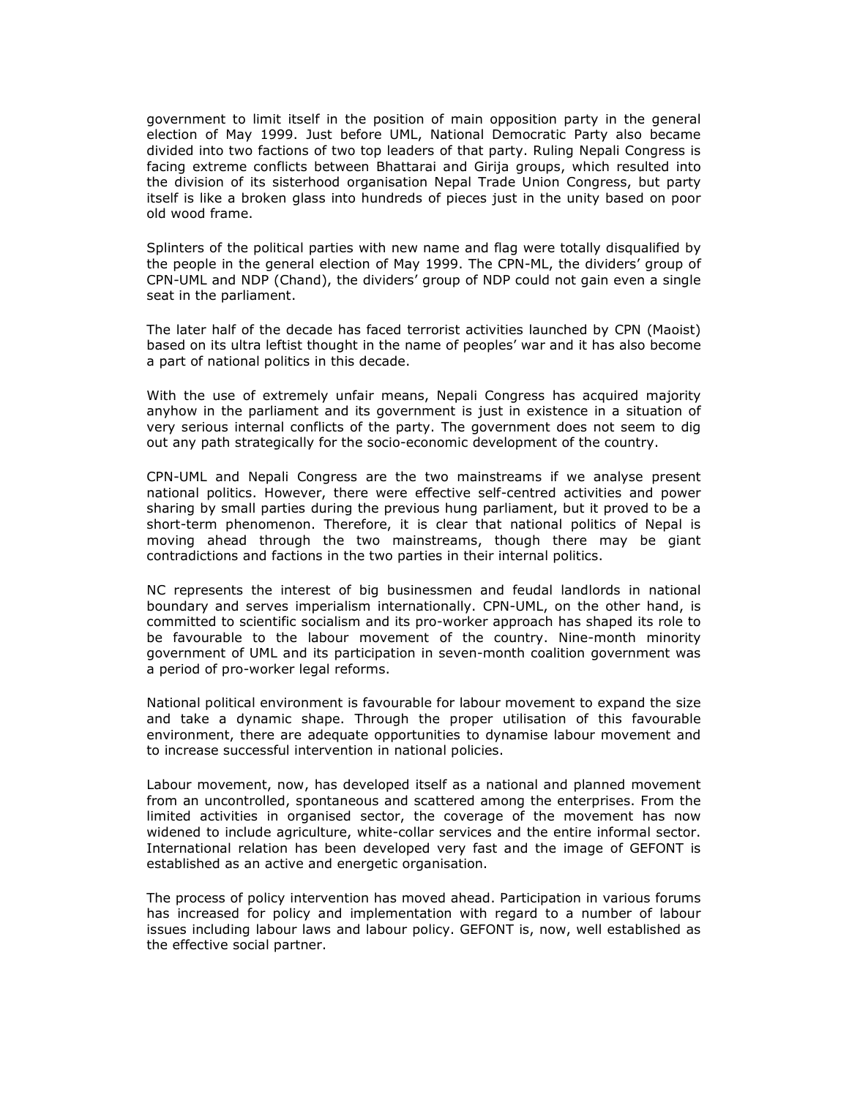government to limit itself in the position of main opposition party in the general election of May 1999. Just before UML, National Democratic Party also became divided into two factions of two top leaders of that party. Ruling Nepali Congress is facing extreme conflicts between Bhattarai and Girija groups, which resulted into the division of its sisterhood organisation Nepal Trade Union Congress, but party itself is like a broken glass into hundreds of pieces just in the unity based on poor old wood frame.

Splinters of the political parties with new name and flag were totally disqualified by the people in the general election of May 1999. The CPN-ML, the dividers' group of CPN-UML and NDP (Chand), the dividers' group of NDP could not gain even a single seat in the parliament.

The later half of the decade has faced terrorist activities launched by CPN (Maoist) based on its ultra leftist thought in the name of peoples' war and it has also become a part of national politics in this decade.

With the use of extremely unfair means, Nepali Congress has acquired majority anyhow in the parliament and its government is just in existence in a situation of very serious internal conflicts of the party. The government does not seem to dig out any path strategically for the socio-economic development of the country.

CPN-UML and Nepali Congress are the two mainstreams if we analyse present national politics. However, there were effective self-centred activities and power sharing by small parties during the previous hung parliament, but it proved to be a short-term phenomenon. Therefore, it is clear that national politics of Nepal is moving ahead through the two mainstreams, though there may be giant contradictions and factions in the two parties in their internal politics.

NC represents the interest of big businessmen and feudal landlords in national boundary and serves imperialism internationally. CPN-UML, on the other hand, is committed to scientific socialism and its pro-worker approach has shaped its role to be favourable to the labour movement of the country. Nine-month minority government of UML and its participation in seven-month coalition government was a period of pro-worker legal reforms.

National political environment is favourable for labour movement to expand the size and take a dynamic shape. Through the proper utilisation of this favourable environment, there are adequate opportunities to dynamise labour movement and to increase successful intervention in national policies.

Labour movement, now, has developed itself as a national and planned movement from an uncontrolled, spontaneous and scattered among the enterprises. From the limited activities in organised sector, the coverage of the movement has now widened to include agriculture, white-collar services and the entire informal sector. International relation has been developed very fast and the image of GEFONT is established as an active and energetic organisation.

The process of policy intervention has moved ahead. Participation in various forums has increased for policy and implementation with regard to a number of labour issues including labour laws and labour policy. GEFONT is, now, well established as the effective social partner.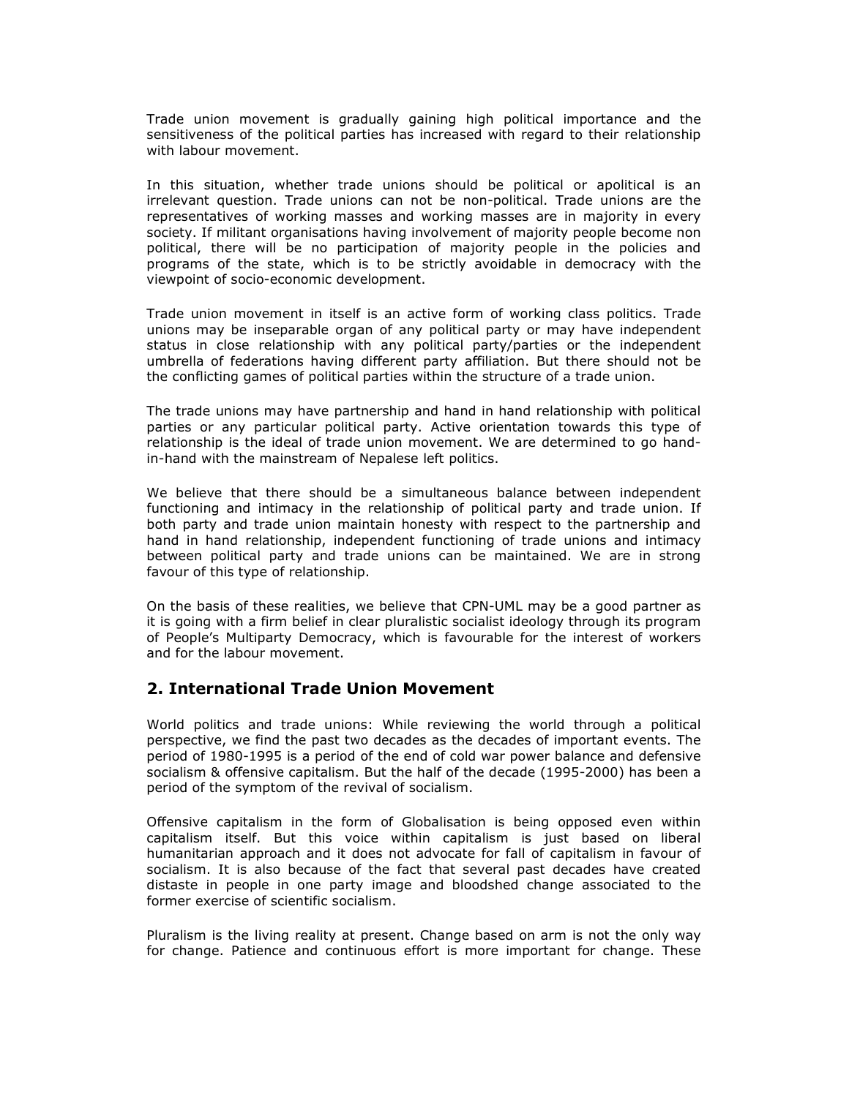Trade union movement is gradually gaining high political importance and the sensitiveness of the political parties has increased with regard to their relationship with labour movement.

In this situation, whether trade unions should be political or apolitical is an irrelevant question. Trade unions can not be non-political. Trade unions are the representatives of working masses and working masses are in majority in every society. If militant organisations having involvement of majority people become non political, there will be no participation of majority people in the policies and programs of the state, which is to be strictly avoidable in democracy with the viewpoint of socio-economic development.

Trade union movement in itself is an active form of working class politics. Trade unions may be inseparable organ of any political party or may have independent status in close relationship with any political party/parties or the independent umbrella of federations having different party affiliation. But there should not be the conflicting games of political parties within the structure of a trade union.

The trade unions may have partnership and hand in hand relationship with political parties or any particular political party. Active orientation towards this type of relationship is the ideal of trade union movement. We are determined to go handin-hand with the mainstream of Nepalese left politics.

We believe that there should be a simultaneous balance between independent functioning and intimacy in the relationship of political party and trade union. If both party and trade union maintain honesty with respect to the partnership and hand in hand relationship, independent functioning of trade unions and intimacy between political party and trade unions can be maintained. We are in strong favour of this type of relationship.

On the basis of these realities, we believe that CPN-UML may be a good partner as it is going with a firm belief in clear pluralistic socialist ideology through its program of People's Multiparty Democracy, which is favourable for the interest of workers and for the labour movement.

#### 2. International Trade Union Movement

World politics and trade unions: While reviewing the world through a political perspective, we find the past two decades as the decades of important events. The period of 1980-1995 is a period of the end of cold war power balance and defensive socialism & offensive capitalism. But the half of the decade (1995-2000) has been a period of the symptom of the revival of socialism.

Offensive capitalism in the form of Globalisation is being opposed even within capitalism itself. But this voice within capitalism is just based on liberal humanitarian approach and it does not advocate for fall of capitalism in favour of socialism. It is also because of the fact that several past decades have created distaste in people in one party image and bloodshed change associated to the former exercise of scientific socialism.

Pluralism is the living reality at present. Change based on arm is not the only way for change. Patience and continuous effort is more important for change. These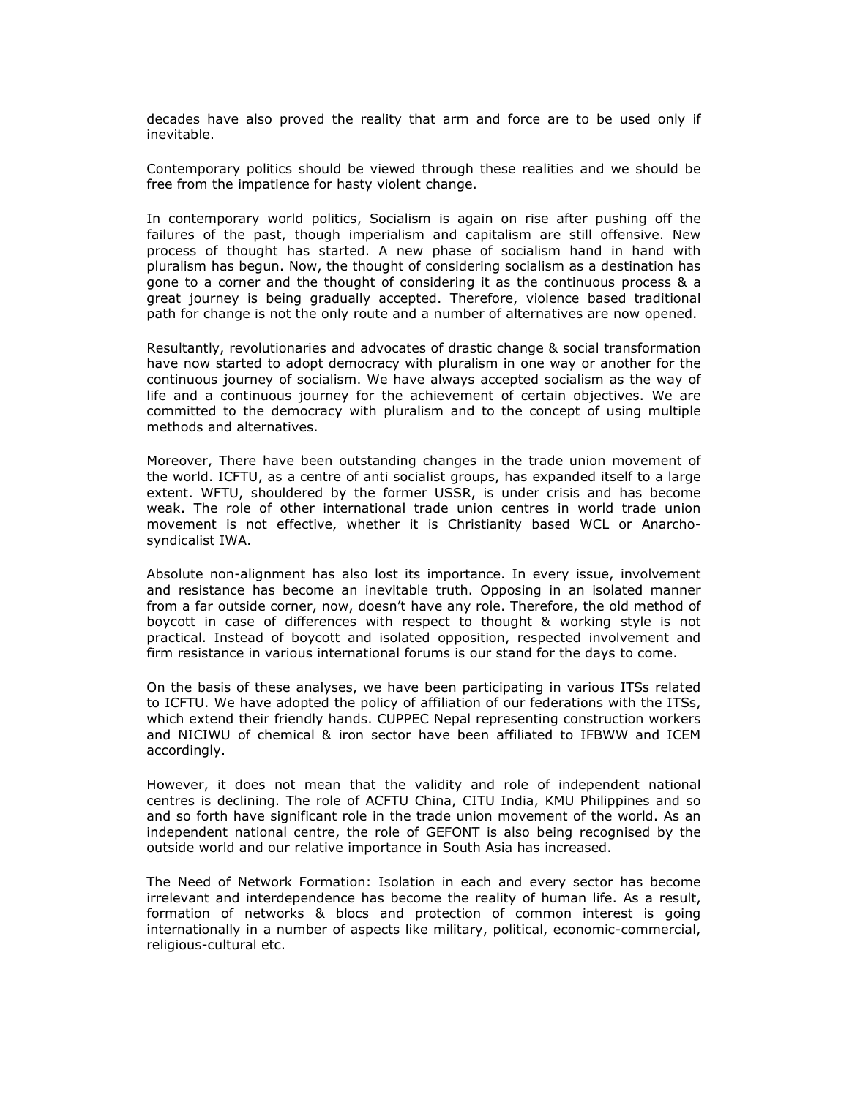decades have also proved the reality that arm and force are to be used only if inevitable.

Contemporary politics should be viewed through these realities and we should be free from the impatience for hasty violent change.

In contemporary world politics, Socialism is again on rise after pushing off the failures of the past, though imperialism and capitalism are still offensive. New process of thought has started. A new phase of socialism hand in hand with pluralism has begun. Now, the thought of considering socialism as a destination has gone to a corner and the thought of considering it as the continuous process & a great journey is being gradually accepted. Therefore, violence based traditional path for change is not the only route and a number of alternatives are now opened.

Resultantly, revolutionaries and advocates of drastic change & social transformation have now started to adopt democracy with pluralism in one way or another for the continuous journey of socialism. We have always accepted socialism as the way of life and a continuous journey for the achievement of certain objectives. We are committed to the democracy with pluralism and to the concept of using multiple methods and alternatives.

Moreover, There have been outstanding changes in the trade union movement of the world. ICFTU, as a centre of anti socialist groups, has expanded itself to a large extent. WFTU, shouldered by the former USSR, is under crisis and has become weak. The role of other international trade union centres in world trade union movement is not effective, whether it is Christianity based WCL or Anarchosyndicalist IWA.

Absolute non-alignment has also lost its importance. In every issue, involvement and resistance has become an inevitable truth. Opposing in an isolated manner from a far outside corner, now, doesn't have any role. Therefore, the old method of boycott in case of differences with respect to thought & working style is not practical. Instead of boycott and isolated opposition, respected involvement and firm resistance in various international forums is our stand for the days to come.

On the basis of these analyses, we have been participating in various ITSs related to ICFTU. We have adopted the policy of affiliation of our federations with the ITSs, which extend their friendly hands. CUPPEC Nepal representing construction workers and NICIWU of chemical & iron sector have been affiliated to IFBWW and ICEM accordingly.

However, it does not mean that the validity and role of independent national centres is declining. The role of ACFTU China, CITU India, KMU Philippines and so and so forth have significant role in the trade union movement of the world. As an independent national centre, the role of GEFONT is also being recognised by the outside world and our relative importance in South Asia has increased.

The Need of Network Formation: Isolation in each and every sector has become irrelevant and interdependence has become the reality of human life. As a result, formation of networks & blocs and protection of common interest is going internationally in a number of aspects like military, political, economic-commercial, religious-cultural etc.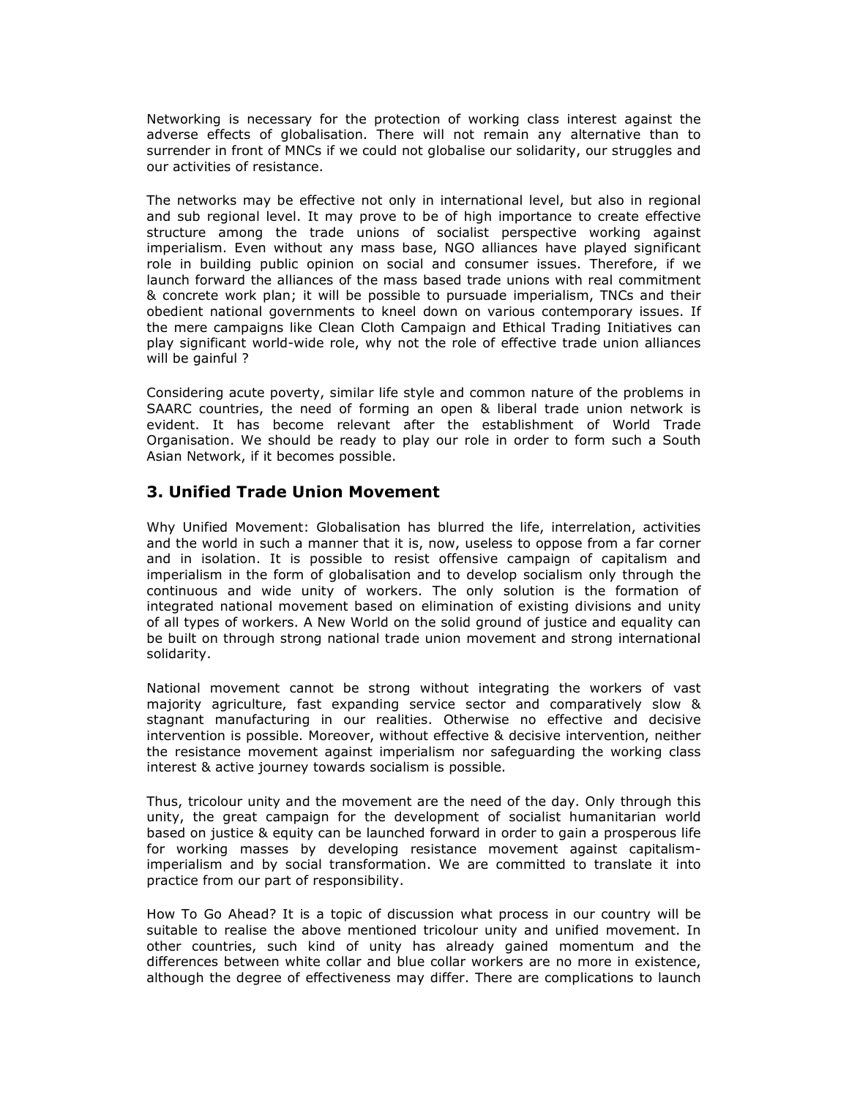Networking is necessary for the protection of working class interest against the adverse effects of globalisation. There will not remain any alternative than to surrender in front of MNCs if we could not globalise our solidarity, our struggles and our activities of resistance.

The networks may be effective not only in international level, but also in regional and sub regional level. It may prove to be of high importance to create effective structure among the trade unions of socialist perspective working against imperialism. Even without any mass base, NGO alliances have played significant role in building public opinion on social and consumer issues. Therefore, if we launch forward the alliances of the mass based trade unions with real commitment & concrete work plan; it will be possible to pursuade imperialism, TNCs and their obedient national governments to kneel down on various contemporary issues. If the mere campaigns like Clean Cloth Campaign and Ethical Trading Initiatives can play significant world-wide role, why not the role of effective trade union alliances will be gainful ?

Considering acute poverty, similar life style and common nature of the problems in SAARC countries, the need of forming an open & liberal trade union network is evident. It has become relevant after the establishment of World Trade Organisation. We should be ready to play our role in order to form such a South Asian Network, if it becomes possible.

#### 3. Unified Trade Union Movement

Why Unified Movement: Globalisation has blurred the life, interrelation, activities and the world in such a manner that it is, now, useless to oppose from a far corner and in isolation. It is possible to resist offensive campaign of capitalism and imperialism in the form of globalisation and to develop socialism only through the continuous and wide unity of workers. The only solution is the formation of integrated national movement based on elimination of existing divisions and unity of all types of workers. A New World on the solid ground of justice and equality can be built on through strong national trade union movement and strong international solidarity.

National movement cannot be strong without integrating the workers of vast majority agriculture, fast expanding service sector and comparatively slow & stagnant manufacturing in our realities. Otherwise no effective and decisive intervention is possible. Moreover, without effective & decisive intervention, neither the resistance movement against imperialism nor safeguarding the working class interest & active journey towards socialism is possible.

Thus, tricolour unity and the movement are the need of the day. Only through this unity, the great campaign for the development of socialist humanitarian world based on justice & equity can be launched forward in order to gain a prosperous life for working masses by developing resistance movement against capitalismimperialism and by social transformation. We are committed to translate it into practice from our part of responsibility.

How To Go Ahead? It is a topic of discussion what process in our country will be suitable to realise the above mentioned tricolour unity and unified movement. In other countries, such kind of unity has already gained momentum and the differences between white collar and blue collar workers are no more in existence, although the degree of effectiveness may differ. There are complications to launch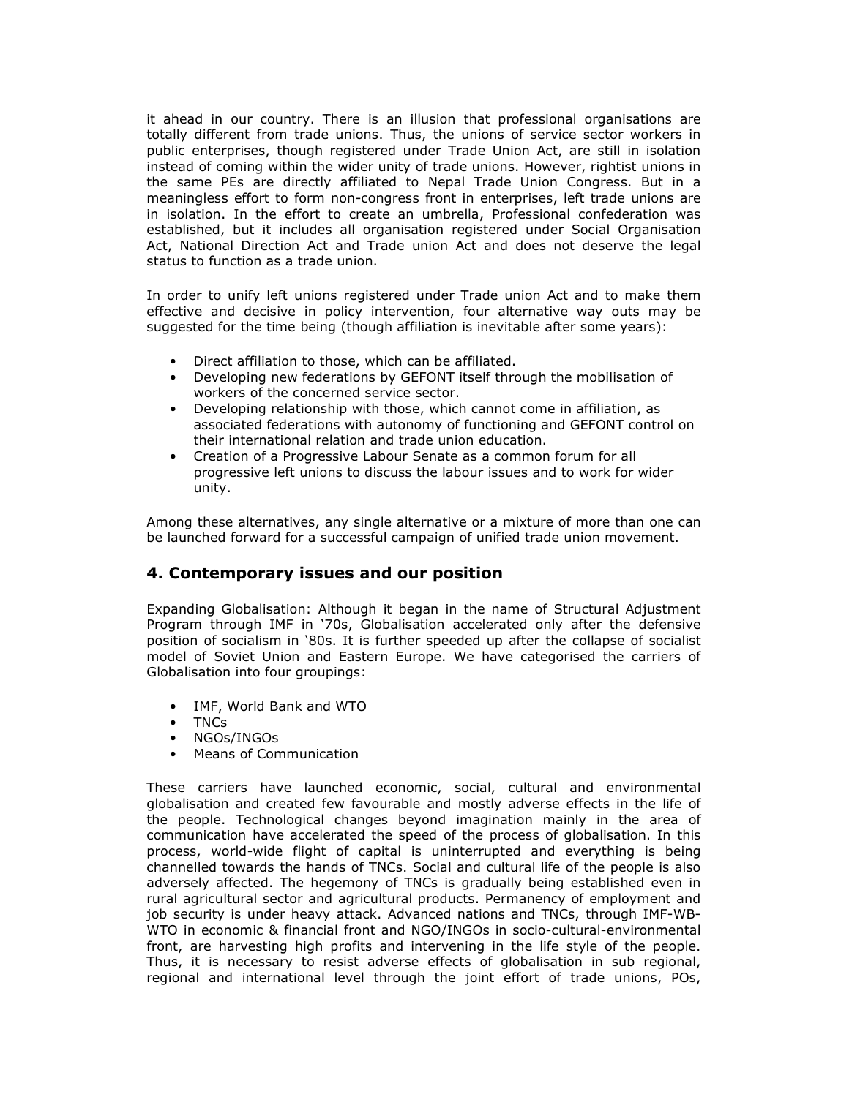it ahead in our country. There is an illusion that professional organisations are totally different from trade unions. Thus, the unions of service sector workers in public enterprises, though registered under Trade Union Act, are still in isolation instead of coming within the wider unity of trade unions. However, rightist unions in the same PEs are directly affiliated to Nepal Trade Union Congress. But in a meaningless effort to form non-congress front in enterprises, left trade unions are in isolation. In the effort to create an umbrella, Professional confederation was established, but it includes all organisation registered under Social Organisation Act, National Direction Act and Trade union Act and does not deserve the legal status to function as a trade union.

In order to unify left unions registered under Trade union Act and to make them effective and decisive in policy intervention, four alternative way outs may be suggested for the time being (though affiliation is inevitable after some years):

- Direct affiliation to those, which can be affiliated.
- Developing new federations by GEFONT itself through the mobilisation of workers of the concerned service sector.
- Developing relationship with those, which cannot come in affiliation, as associated federations with autonomy of functioning and GEFONT control on their international relation and trade union education.
- Creation of a Progressive Labour Senate as a common forum for all progressive left unions to discuss the labour issues and to work for wider unity.

Among these alternatives, any single alternative or a mixture of more than one can be launched forward for a successful campaign of unified trade union movement.

#### 4. Contemporary issues and our position

Expanding Globalisation: Although it began in the name of Structural Adjustment Program through IMF in '70s, Globalisation accelerated only after the defensive position of socialism in '80s. It is further speeded up after the collapse of socialist model of Soviet Union and Eastern Europe. We have categorised the carriers of Globalisation into four groupings:

- IMF, World Bank and WTO
- TNCs
- NGOs/INGOs
- Means of Communication

These carriers have launched economic, social, cultural and environmental globalisation and created few favourable and mostly adverse effects in the life of the people. Technological changes beyond imagination mainly in the area of communication have accelerated the speed of the process of globalisation. In this process, world-wide flight of capital is uninterrupted and everything is being channelled towards the hands of TNCs. Social and cultural life of the people is also adversely affected. The hegemony of TNCs is gradually being established even in rural agricultural sector and agricultural products. Permanency of employment and job security is under heavy attack. Advanced nations and TNCs, through IMF-WB-WTO in economic & financial front and NGO/INGOs in socio-cultural-environmental front, are harvesting high profits and intervening in the life style of the people. Thus, it is necessary to resist adverse effects of globalisation in sub regional, regional and international level through the joint effort of trade unions, POs,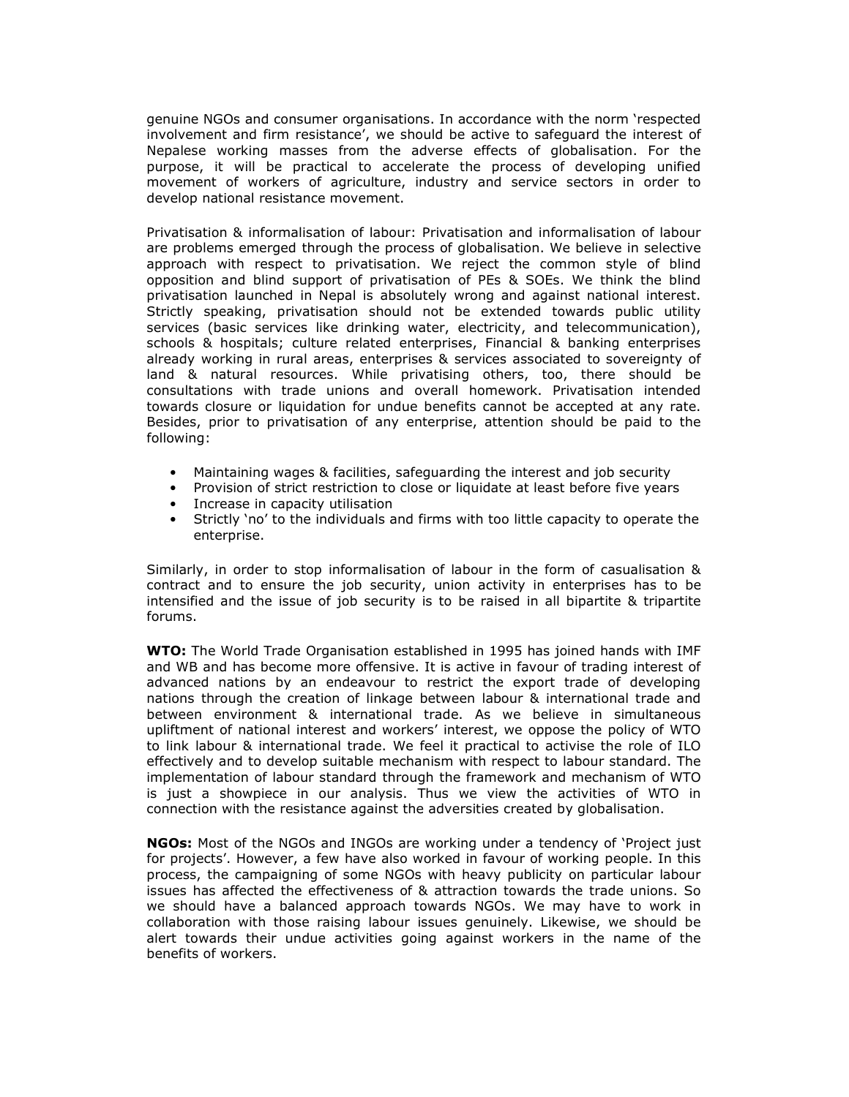genuine NGOs and consumer organisations. In accordance with the norm 'respected involvement and firm resistance', we should be active to safeguard the interest of Nepalese working masses from the adverse effects of globalisation. For the purpose, it will be practical to accelerate the process of developing unified movement of workers of agriculture, industry and service sectors in order to develop national resistance movement.

Privatisation & informalisation of labour: Privatisation and informalisation of labour are problems emerged through the process of globalisation. We believe in selective approach with respect to privatisation. We reject the common style of blind opposition and blind support of privatisation of PEs & SOEs. We think the blind privatisation launched in Nepal is absolutely wrong and against national interest. Strictly speaking, privatisation should not be extended towards public utility services (basic services like drinking water, electricity, and telecommunication), schools & hospitals; culture related enterprises, Financial & banking enterprises already working in rural areas, enterprises & services associated to sovereignty of land & natural resources. While privatising others, too, there should be consultations with trade unions and overall homework. Privatisation intended towards closure or liquidation for undue benefits cannot be accepted at any rate. Besides, prior to privatisation of any enterprise, attention should be paid to the following:

- Maintaining wages & facilities, safeguarding the interest and job security
- Provision of strict restriction to close or liquidate at least before five years
- Increase in capacity utilisation
- Strictly 'no' to the individuals and firms with too little capacity to operate the enterprise.

Similarly, in order to stop informalisation of labour in the form of casualisation & contract and to ensure the job security, union activity in enterprises has to be intensified and the issue of job security is to be raised in all bipartite & tripartite forums.

WTO: The World Trade Organisation established in 1995 has joined hands with IMF and WB and has become more offensive. It is active in favour of trading interest of advanced nations by an endeavour to restrict the export trade of developing nations through the creation of linkage between labour & international trade and between environment & international trade. As we believe in simultaneous upliftment of national interest and workers' interest, we oppose the policy of WTO to link labour & international trade. We feel it practical to activise the role of ILO effectively and to develop suitable mechanism with respect to labour standard. The implementation of labour standard through the framework and mechanism of WTO is just a showpiece in our analysis. Thus we view the activities of WTO in connection with the resistance against the adversities created by globalisation.

NGOs: Most of the NGOs and INGOs are working under a tendency of 'Project just for projects'. However, a few have also worked in favour of working people. In this process, the campaigning of some NGOs with heavy publicity on particular labour issues has affected the effectiveness of & attraction towards the trade unions. So we should have a balanced approach towards NGOs. We may have to work in collaboration with those raising labour issues genuinely. Likewise, we should be alert towards their undue activities going against workers in the name of the benefits of workers.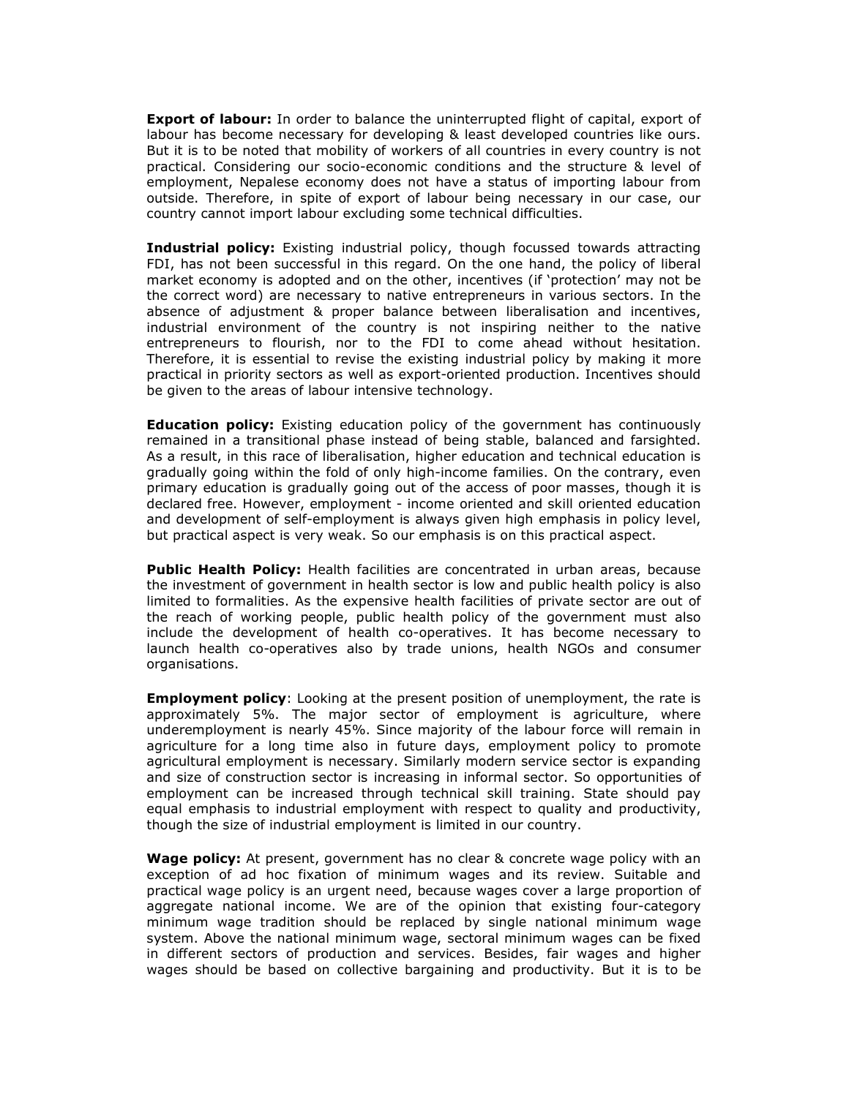**Export of labour:** In order to balance the uninterrupted flight of capital, export of labour has become necessary for developing & least developed countries like ours. But it is to be noted that mobility of workers of all countries in every country is not practical. Considering our socio-economic conditions and the structure & level of employment, Nepalese economy does not have a status of importing labour from outside. Therefore, in spite of export of labour being necessary in our case, our country cannot import labour excluding some technical difficulties.

Industrial policy: Existing industrial policy, though focussed towards attracting FDI, has not been successful in this regard. On the one hand, the policy of liberal market economy is adopted and on the other, incentives (if 'protection' may not be the correct word) are necessary to native entrepreneurs in various sectors. In the absence of adjustment & proper balance between liberalisation and incentives, industrial environment of the country is not inspiring neither to the native entrepreneurs to flourish, nor to the FDI to come ahead without hesitation. Therefore, it is essential to revise the existing industrial policy by making it more practical in priority sectors as well as export-oriented production. Incentives should be given to the areas of labour intensive technology.

**Education policy:** Existing education policy of the government has continuously remained in a transitional phase instead of being stable, balanced and farsighted. As a result, in this race of liberalisation, higher education and technical education is gradually going within the fold of only high-income families. On the contrary, even primary education is gradually going out of the access of poor masses, though it is declared free. However, employment - income oriented and skill oriented education and development of self-employment is always given high emphasis in policy level, but practical aspect is very weak. So our emphasis is on this practical aspect.

Public Health Policy: Health facilities are concentrated in urban areas, because the investment of government in health sector is low and public health policy is also limited to formalities. As the expensive health facilities of private sector are out of the reach of working people, public health policy of the government must also include the development of health co-operatives. It has become necessary to launch health co-operatives also by trade unions, health NGOs and consumer organisations.

**Employment policy:** Looking at the present position of unemployment, the rate is approximately 5%. The major sector of employment is agriculture, where underemployment is nearly 45%. Since majority of the labour force will remain in agriculture for a long time also in future days, employment policy to promote agricultural employment is necessary. Similarly modern service sector is expanding and size of construction sector is increasing in informal sector. So opportunities of employment can be increased through technical skill training. State should pay equal emphasis to industrial employment with respect to quality and productivity, though the size of industrial employment is limited in our country.

**Wage policy:** At present, government has no clear & concrete wage policy with an exception of ad hoc fixation of minimum wages and its review. Suitable and practical wage policy is an urgent need, because wages cover a large proportion of aggregate national income. We are of the opinion that existing four-category minimum wage tradition should be replaced by single national minimum wage system. Above the national minimum wage, sectoral minimum wages can be fixed in different sectors of production and services. Besides, fair wages and higher wages should be based on collective bargaining and productivity. But it is to be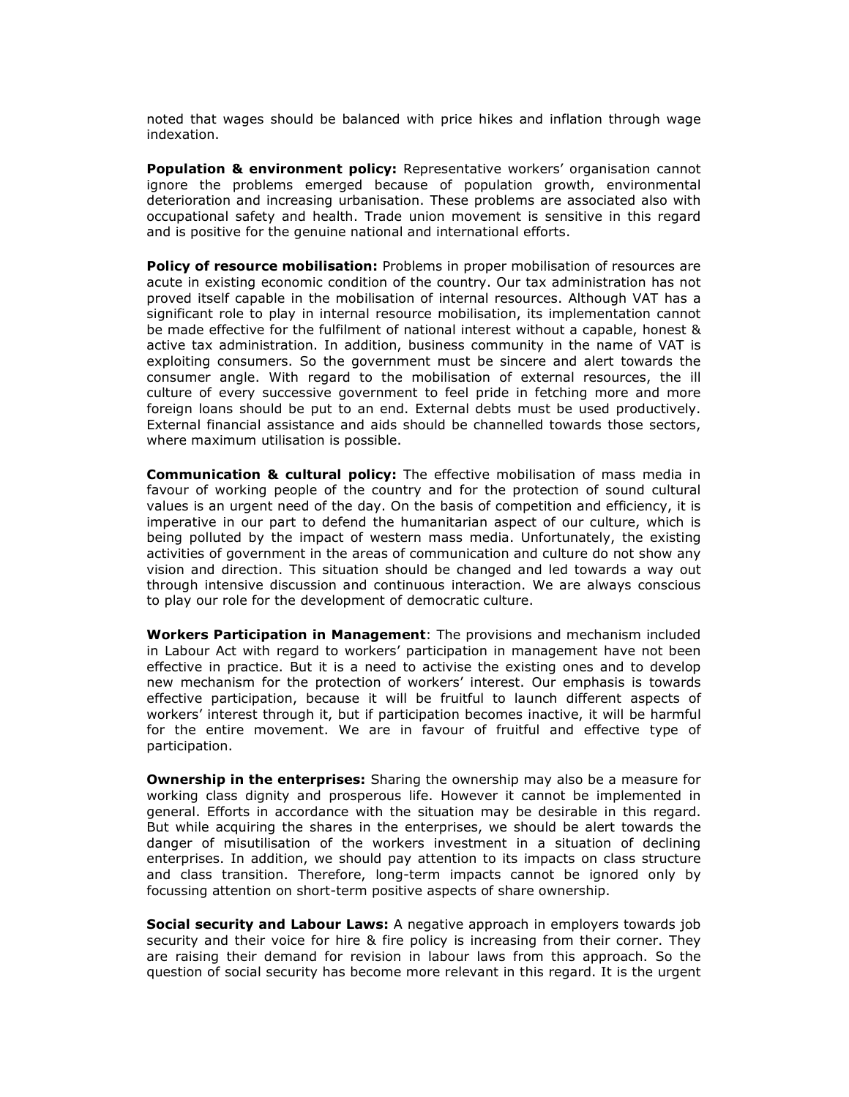noted that wages should be balanced with price hikes and inflation through wage indexation.

Population & environment policy: Representative workers' organisation cannot ignore the problems emerged because of population growth, environmental deterioration and increasing urbanisation. These problems are associated also with occupational safety and health. Trade union movement is sensitive in this regard and is positive for the genuine national and international efforts.

Policy of resource mobilisation: Problems in proper mobilisation of resources are acute in existing economic condition of the country. Our tax administration has not proved itself capable in the mobilisation of internal resources. Although VAT has a significant role to play in internal resource mobilisation, its implementation cannot be made effective for the fulfilment of national interest without a capable, honest & active tax administration. In addition, business community in the name of VAT is exploiting consumers. So the government must be sincere and alert towards the consumer angle. With regard to the mobilisation of external resources, the ill culture of every successive government to feel pride in fetching more and more foreign loans should be put to an end. External debts must be used productively. External financial assistance and aids should be channelled towards those sectors, where maximum utilisation is possible.

Communication & cultural policy: The effective mobilisation of mass media in favour of working people of the country and for the protection of sound cultural values is an urgent need of the day. On the basis of competition and efficiency, it is imperative in our part to defend the humanitarian aspect of our culture, which is being polluted by the impact of western mass media. Unfortunately, the existing activities of government in the areas of communication and culture do not show any vision and direction. This situation should be changed and led towards a way out through intensive discussion and continuous interaction. We are always conscious to play our role for the development of democratic culture.

Workers Participation in Management: The provisions and mechanism included in Labour Act with regard to workers' participation in management have not been effective in practice. But it is a need to activise the existing ones and to develop new mechanism for the protection of workers' interest. Our emphasis is towards effective participation, because it will be fruitful to launch different aspects of workers' interest through it, but if participation becomes inactive, it will be harmful for the entire movement. We are in favour of fruitful and effective type of participation.

**Ownership in the enterprises:** Sharing the ownership may also be a measure for working class dignity and prosperous life. However it cannot be implemented in general. Efforts in accordance with the situation may be desirable in this regard. But while acquiring the shares in the enterprises, we should be alert towards the danger of misutilisation of the workers investment in a situation of declining enterprises. In addition, we should pay attention to its impacts on class structure and class transition. Therefore, long-term impacts cannot be ignored only by focussing attention on short-term positive aspects of share ownership.

**Social security and Labour Laws:** A negative approach in employers towards job security and their voice for hire & fire policy is increasing from their corner. They are raising their demand for revision in labour laws from this approach. So the question of social security has become more relevant in this regard. It is the urgent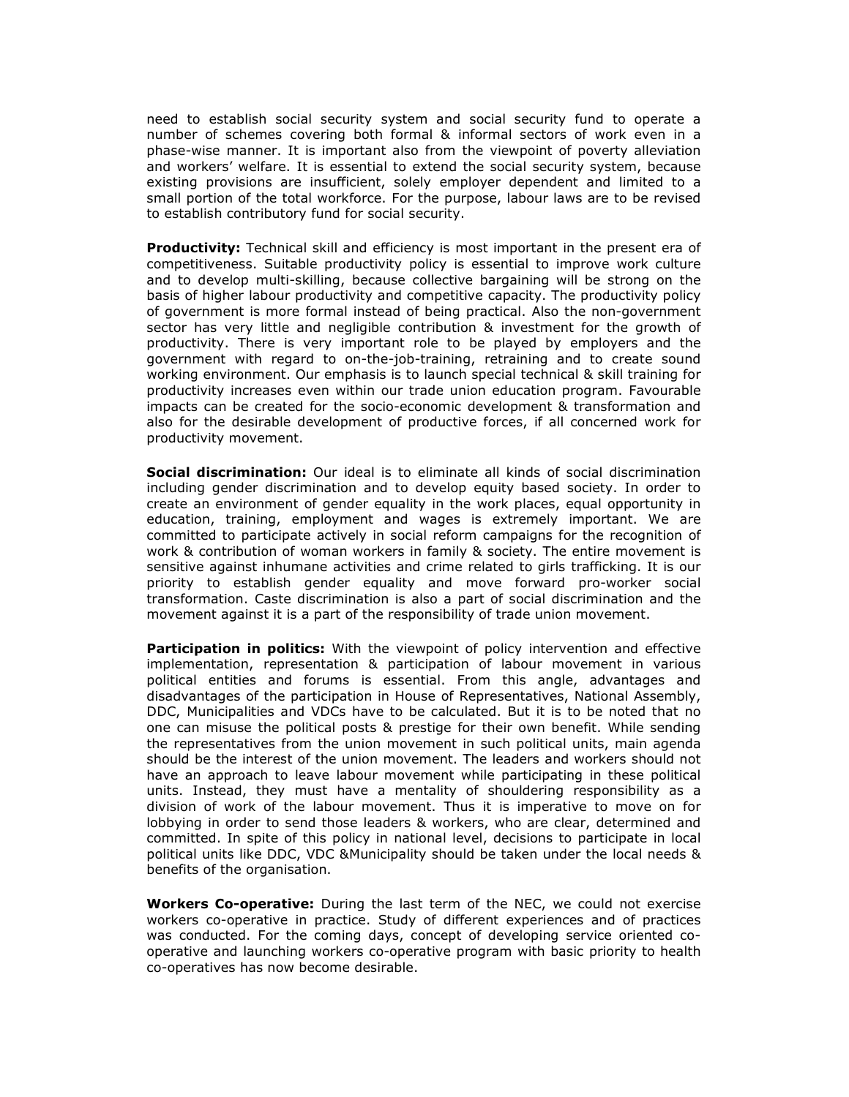need to establish social security system and social security fund to operate a number of schemes covering both formal & informal sectors of work even in a phase-wise manner. It is important also from the viewpoint of poverty alleviation and workers' welfare. It is essential to extend the social security system, because existing provisions are insufficient, solely employer dependent and limited to a small portion of the total workforce. For the purpose, labour laws are to be revised to establish contributory fund for social security.

**Productivity:** Technical skill and efficiency is most important in the present era of competitiveness. Suitable productivity policy is essential to improve work culture and to develop multi-skilling, because collective bargaining will be strong on the basis of higher labour productivity and competitive capacity. The productivity policy of government is more formal instead of being practical. Also the non-government sector has very little and negligible contribution & investment for the growth of productivity. There is very important role to be played by employers and the government with regard to on-the-job-training, retraining and to create sound working environment. Our emphasis is to launch special technical & skill training for productivity increases even within our trade union education program. Favourable impacts can be created for the socio-economic development & transformation and also for the desirable development of productive forces, if all concerned work for productivity movement.

**Social discrimination:** Our ideal is to eliminate all kinds of social discrimination including gender discrimination and to develop equity based society. In order to create an environment of gender equality in the work places, equal opportunity in education, training, employment and wages is extremely important. We are committed to participate actively in social reform campaigns for the recognition of work & contribution of woman workers in family & society. The entire movement is sensitive against inhumane activities and crime related to girls trafficking. It is our priority to establish gender equality and move forward pro-worker social transformation. Caste discrimination is also a part of social discrimination and the movement against it is a part of the responsibility of trade union movement.

Participation in politics: With the viewpoint of policy intervention and effective implementation, representation & participation of labour movement in various political entities and forums is essential. From this angle, advantages and disadvantages of the participation in House of Representatives, National Assembly, DDC, Municipalities and VDCs have to be calculated. But it is to be noted that no one can misuse the political posts & prestige for their own benefit. While sending the representatives from the union movement in such political units, main agenda should be the interest of the union movement. The leaders and workers should not have an approach to leave labour movement while participating in these political units. Instead, they must have a mentality of shouldering responsibility as a division of work of the labour movement. Thus it is imperative to move on for lobbying in order to send those leaders & workers, who are clear, determined and committed. In spite of this policy in national level, decisions to participate in local political units like DDC, VDC &Municipality should be taken under the local needs & benefits of the organisation.

Workers Co-operative: During the last term of the NEC, we could not exercise workers co-operative in practice. Study of different experiences and of practices was conducted. For the coming days, concept of developing service oriented cooperative and launching workers co-operative program with basic priority to health co-operatives has now become desirable.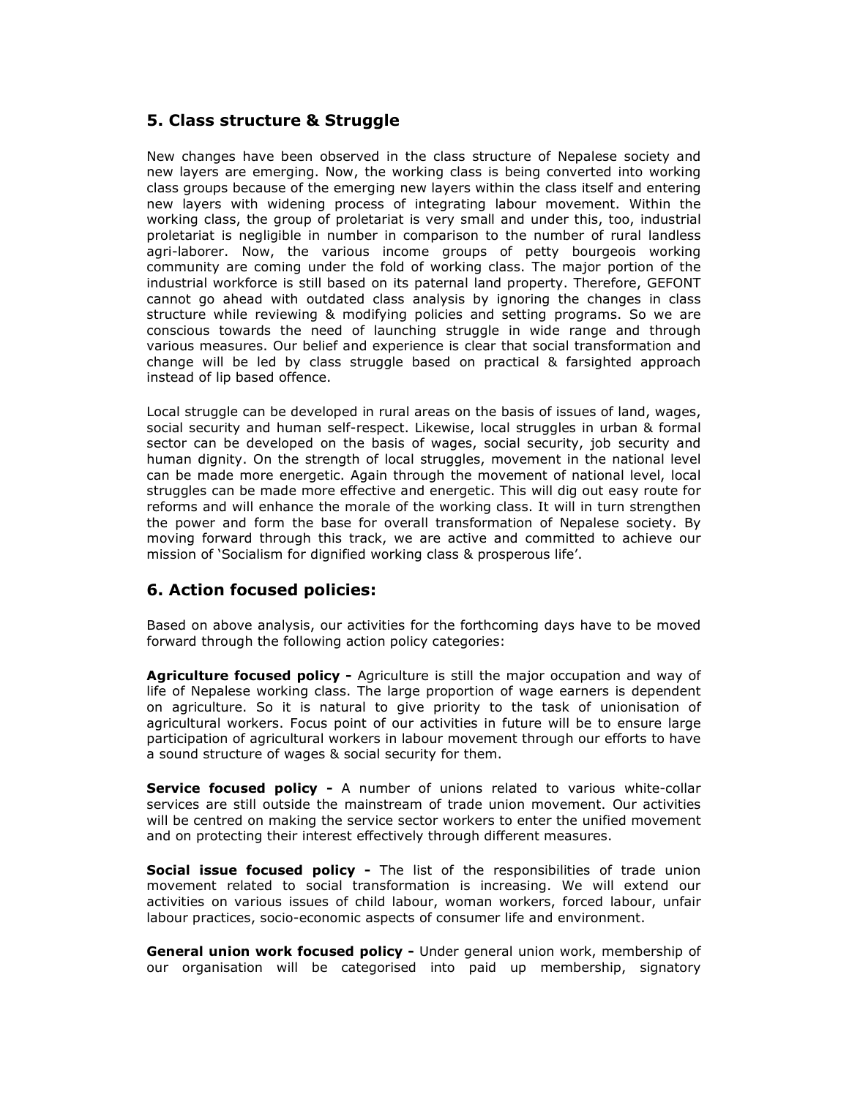## 5. Class structure & Struggle

New changes have been observed in the class structure of Nepalese society and new layers are emerging. Now, the working class is being converted into working class groups because of the emerging new layers within the class itself and entering new layers with widening process of integrating labour movement. Within the working class, the group of proletariat is very small and under this, too, industrial proletariat is negligible in number in comparison to the number of rural landless agri-laborer. Now, the various income groups of petty bourgeois working community are coming under the fold of working class. The major portion of the industrial workforce is still based on its paternal land property. Therefore, GEFONT cannot go ahead with outdated class analysis by ignoring the changes in class structure while reviewing & modifying policies and setting programs. So we are conscious towards the need of launching struggle in wide range and through various measures. Our belief and experience is clear that social transformation and change will be led by class struggle based on practical & farsighted approach instead of lip based offence.

Local struggle can be developed in rural areas on the basis of issues of land, wages, social security and human self-respect. Likewise, local struggles in urban & formal sector can be developed on the basis of wages, social security, job security and human dignity. On the strength of local struggles, movement in the national level can be made more energetic. Again through the movement of national level, local struggles can be made more effective and energetic. This will dig out easy route for reforms and will enhance the morale of the working class. It will in turn strengthen the power and form the base for overall transformation of Nepalese society. By moving forward through this track, we are active and committed to achieve our mission of 'Socialism for dignified working class & prosperous life'.

#### 6. Action focused policies:

Based on above analysis, our activities for the forthcoming days have to be moved forward through the following action policy categories:

**Agriculture focused policy -** Agriculture is still the major occupation and way of life of Nepalese working class. The large proportion of wage earners is dependent on agriculture. So it is natural to give priority to the task of unionisation of agricultural workers. Focus point of our activities in future will be to ensure large participation of agricultural workers in labour movement through our efforts to have a sound structure of wages & social security for them.

Service focused policy - A number of unions related to various white-collar services are still outside the mainstream of trade union movement. Our activities will be centred on making the service sector workers to enter the unified movement and on protecting their interest effectively through different measures.

Social issue focused policy - The list of the responsibilities of trade union movement related to social transformation is increasing. We will extend our activities on various issues of child labour, woman workers, forced labour, unfair labour practices, socio-economic aspects of consumer life and environment.

General union work focused policy - Under general union work, membership of our organisation will be categorised into paid up membership, signatory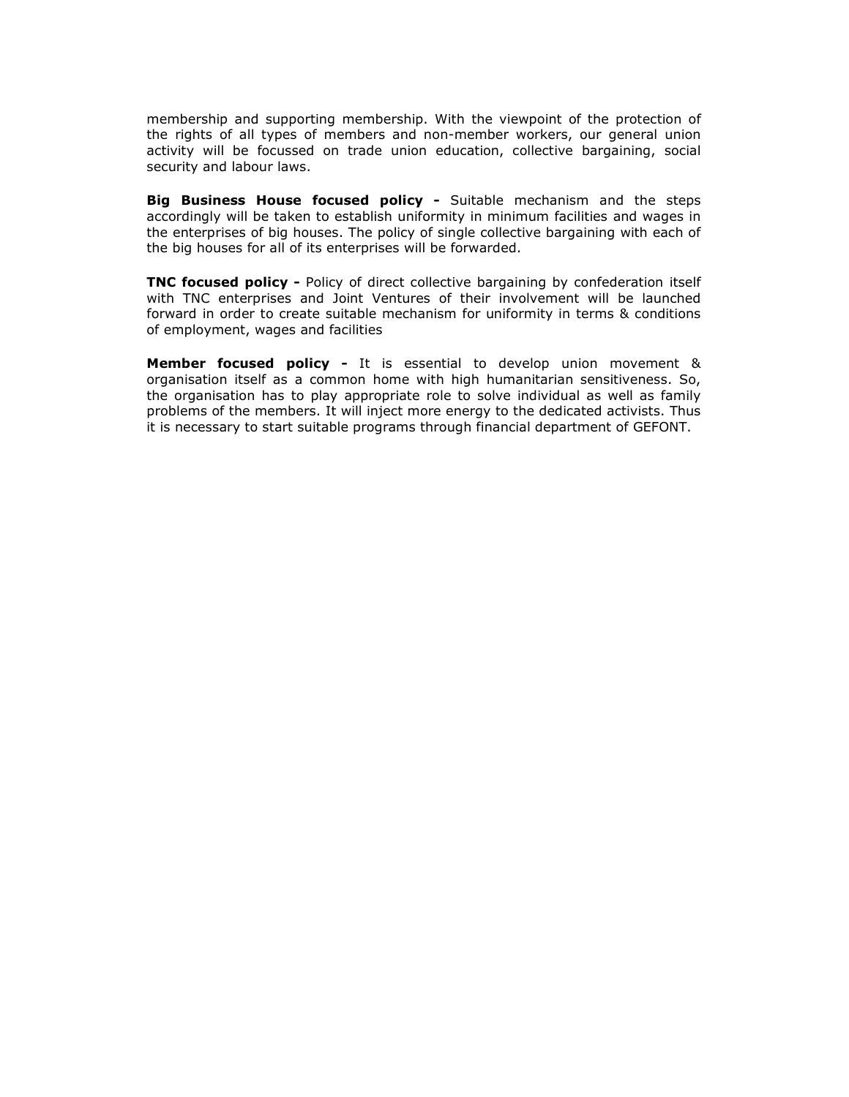membership and supporting membership. With the viewpoint of the protection of the rights of all types of members and non-member workers, our general union activity will be focussed on trade union education, collective bargaining, social security and labour laws.

**Big Business House focused policy -** Suitable mechanism and the steps accordingly will be taken to establish uniformity in minimum facilities and wages in the enterprises of big houses. The policy of single collective bargaining with each of the big houses for all of its enterprises will be forwarded.

TNC focused policy - Policy of direct collective bargaining by confederation itself with TNC enterprises and Joint Ventures of their involvement will be launched forward in order to create suitable mechanism for uniformity in terms & conditions of employment, wages and facilities

**Member focused policy -** It is essential to develop union movement & organisation itself as a common home with high humanitarian sensitiveness. So, the organisation has to play appropriate role to solve individual as well as family problems of the members. It will inject more energy to the dedicated activists. Thus it is necessary to start suitable programs through financial department of GEFONT.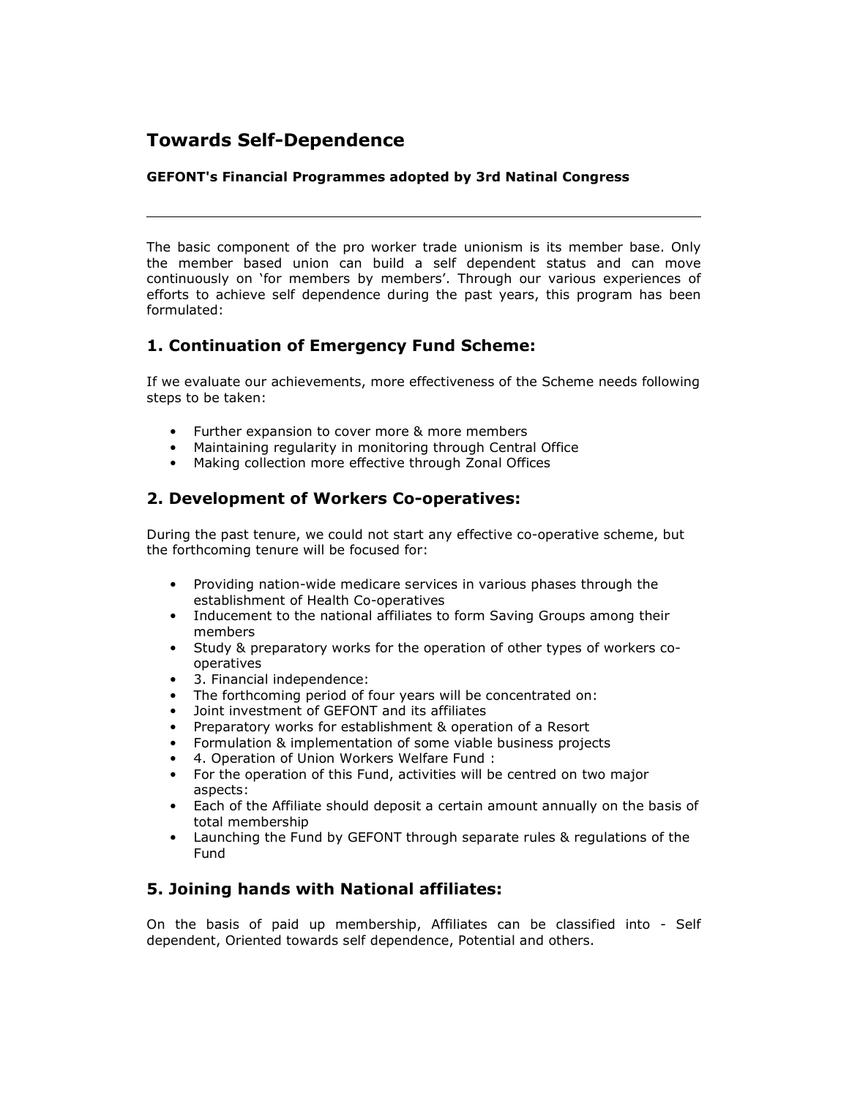# Towards Self-Dependence

#### GEFONT's Financial Programmes adopted by 3rd Natinal Congress

The basic component of the pro worker trade unionism is its member base. Only the member based union can build a self dependent status and can move continuously on 'for members by members'. Through our various experiences of efforts to achieve self dependence during the past years, this program has been formulated:

# 1. Continuation of Emergency Fund Scheme:

If we evaluate our achievements, more effectiveness of the Scheme needs following steps to be taken:

- Further expansion to cover more & more members
- Maintaining regularity in monitoring through Central Office
- Making collection more effective through Zonal Offices

## 2. Development of Workers Co-operatives:

During the past tenure, we could not start any effective co-operative scheme, but the forthcoming tenure will be focused for:

- Providing nation-wide medicare services in various phases through the establishment of Health Co-operatives
- Inducement to the national affiliates to form Saving Groups among their members
- Study & preparatory works for the operation of other types of workers cooperatives
- 3. Financial independence:
- The forthcoming period of four years will be concentrated on:
- Joint investment of GEFONT and its affiliates
- Preparatory works for establishment & operation of a Resort
- Formulation & implementation of some viable business projects
- 4. Operation of Union Workers Welfare Fund :
- For the operation of this Fund, activities will be centred on two major aspects:
- Each of the Affiliate should deposit a certain amount annually on the basis of total membership
- Launching the Fund by GEFONT through separate rules & regulations of the Fund

## 5. Joining hands with National affiliates:

On the basis of paid up membership, Affiliates can be classified into - Self dependent, Oriented towards self dependence, Potential and others.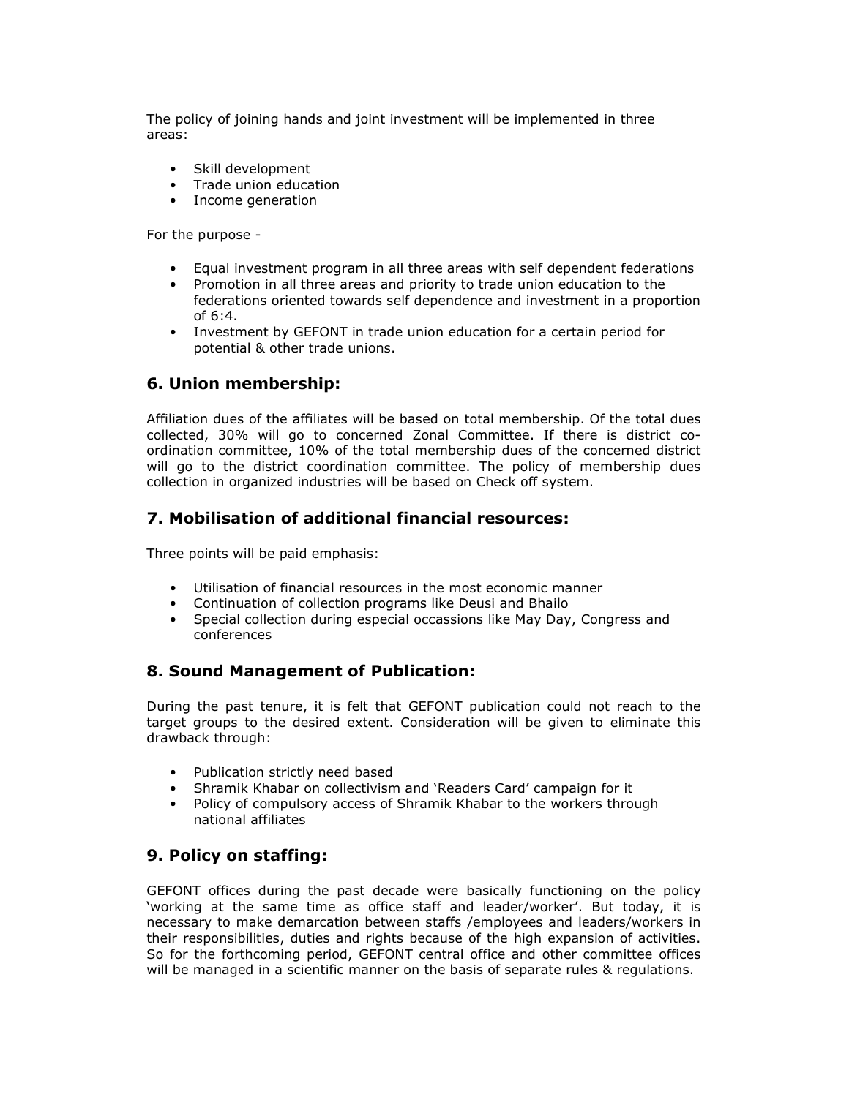The policy of joining hands and joint investment will be implemented in three areas:

- Skill development
- Trade union education
- Income generation

For the purpose -

- Equal investment program in all three areas with self dependent federations
- Promotion in all three areas and priority to trade union education to the federations oriented towards self dependence and investment in a proportion of 6:4.
- Investment by GEFONT in trade union education for a certain period for potential & other trade unions.

#### 6. Union membership:

Affiliation dues of the affiliates will be based on total membership. Of the total dues collected, 30% will go to concerned Zonal Committee. If there is district coordination committee, 10% of the total membership dues of the concerned district will go to the district coordination committee. The policy of membership dues collection in organized industries will be based on Check off system.

#### 7. Mobilisation of additional financial resources:

Three points will be paid emphasis:

- Utilisation of financial resources in the most economic manner
- Continuation of collection programs like Deusi and Bhailo
- Special collection during especial occassions like May Day, Congress and conferences

## 8. Sound Management of Publication:

During the past tenure, it is felt that GEFONT publication could not reach to the target groups to the desired extent. Consideration will be given to eliminate this drawback through:

- Publication strictly need based
- Shramik Khabar on collectivism and 'Readers Card' campaign for it
- Policy of compulsory access of Shramik Khabar to the workers through national affiliates

#### 9. Policy on staffing:

GEFONT offices during the past decade were basically functioning on the policy 'working at the same time as office staff and leader/worker'. But today, it is necessary to make demarcation between staffs /employees and leaders/workers in their responsibilities, duties and rights because of the high expansion of activities. So for the forthcoming period, GEFONT central office and other committee offices will be managed in a scientific manner on the basis of separate rules & regulations.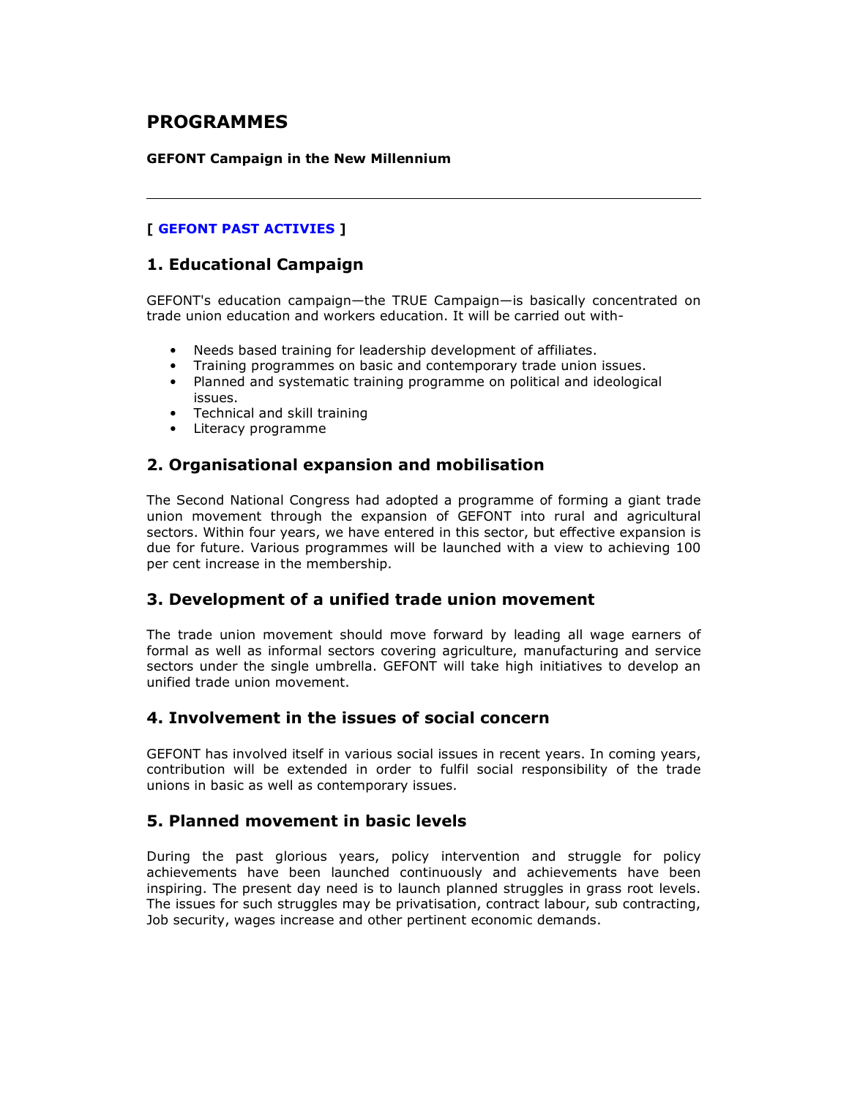# PROGRAMMES

#### GEFONT Campaign in the New Millennium

#### [ GEFONT PAST ACTIVIES ]

#### 1. Educational Campaign

GEFONT's education campaign—the TRUE Campaign—is basically concentrated on trade union education and workers education. It will be carried out with-

- Needs based training for leadership development of affiliates.
- Training programmes on basic and contemporary trade union issues.
- Planned and systematic training programme on political and ideological issues.
- Technical and skill training
- Literacy programme

#### 2. Organisational expansion and mobilisation

The Second National Congress had adopted a programme of forming a giant trade union movement through the expansion of GEFONT into rural and agricultural sectors. Within four years, we have entered in this sector, but effective expansion is due for future. Various programmes will be launched with a view to achieving 100 per cent increase in the membership.

#### 3. Development of a unified trade union movement

The trade union movement should move forward by leading all wage earners of formal as well as informal sectors covering agriculture, manufacturing and service sectors under the single umbrella. GEFONT will take high initiatives to develop an unified trade union movement.

#### 4. Involvement in the issues of social concern

GEFONT has involved itself in various social issues in recent years. In coming years, contribution will be extended in order to fulfil social responsibility of the trade unions in basic as well as contemporary issues.

#### 5. Planned movement in basic levels

During the past glorious years, policy intervention and struggle for policy achievements have been launched continuously and achievements have been inspiring. The present day need is to launch planned struggles in grass root levels. The issues for such struggles may be privatisation, contract labour, sub contracting, Job security, wages increase and other pertinent economic demands.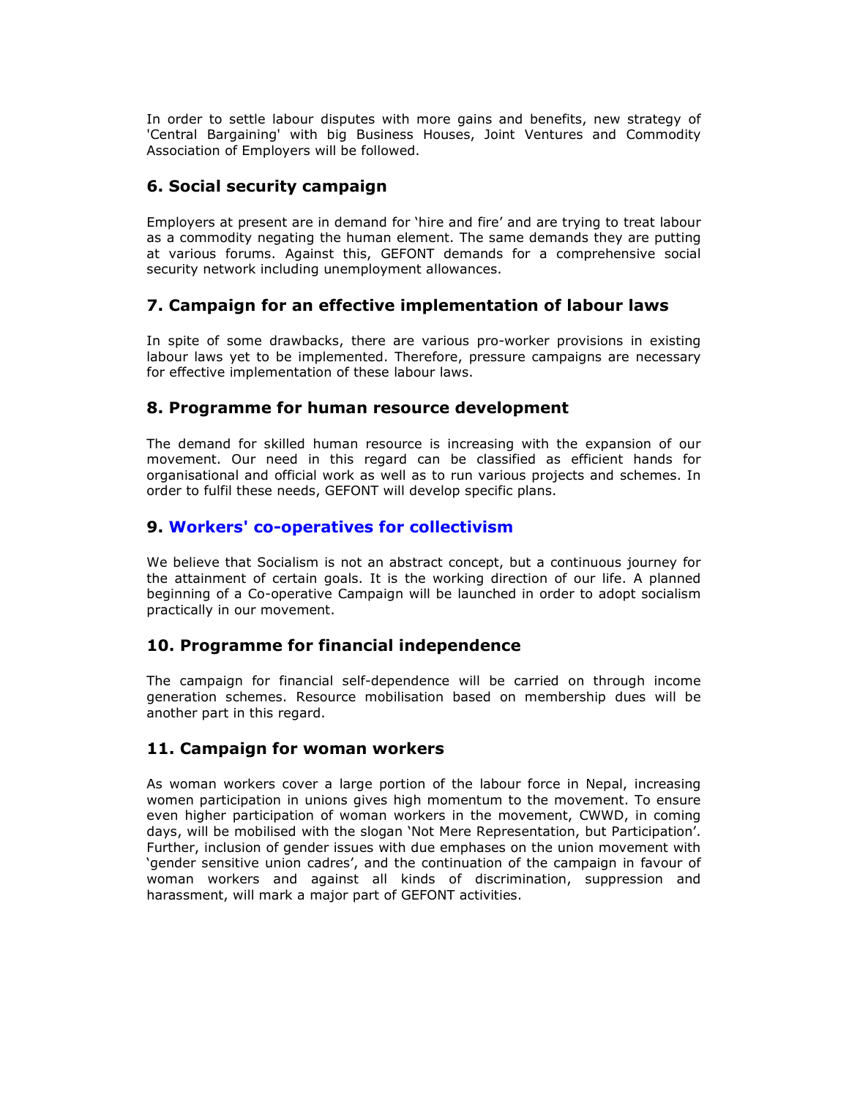In order to settle labour disputes with more gains and benefits, new strategy of 'Central Bargaining' with big Business Houses, Joint Ventures and Commodity Association of Employers will be followed.

# 6. Social security campaign

Employers at present are in demand for 'hire and fire' and are trying to treat labour as a commodity negating the human element. The same demands they are putting at various forums. Against this, GEFONT demands for a comprehensive social security network including unemployment allowances.

## 7. Campaign for an effective implementation of labour laws

In spite of some drawbacks, there are various pro-worker provisions in existing labour laws yet to be implemented. Therefore, pressure campaigns are necessary for effective implementation of these labour laws.

#### 8. Programme for human resource development

The demand for skilled human resource is increasing with the expansion of our movement. Our need in this regard can be classified as efficient hands for organisational and official work as well as to run various projects and schemes. In order to fulfil these needs, GEFONT will develop specific plans.

#### 9. Workers' co-operatives for collectivism

We believe that Socialism is not an abstract concept, but a continuous journey for the attainment of certain goals. It is the working direction of our life. A planned beginning of a Co-operative Campaign will be launched in order to adopt socialism practically in our movement.

## 10. Programme for financial independence

The campaign for financial self-dependence will be carried on through income generation schemes. Resource mobilisation based on membership dues will be another part in this regard.

## 11. Campaign for woman workers

As woman workers cover a large portion of the labour force in Nepal, increasing women participation in unions gives high momentum to the movement. To ensure even higher participation of woman workers in the movement, CWWD, in coming days, will be mobilised with the slogan 'Not Mere Representation, but Participation'. Further, inclusion of gender issues with due emphases on the union movement with 'gender sensitive union cadres', and the continuation of the campaign in favour of woman workers and against all kinds of discrimination, suppression and harassment, will mark a major part of GEFONT activities.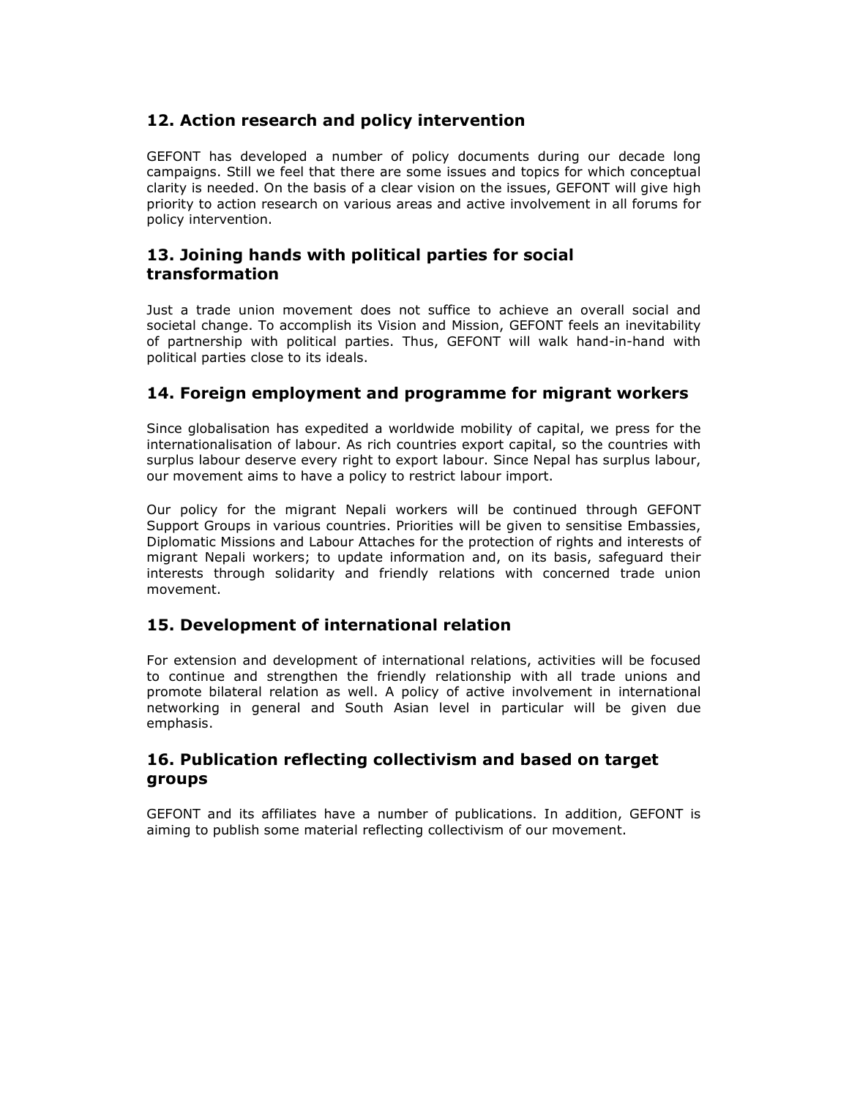## 12. Action research and policy intervention

GEFONT has developed a number of policy documents during our decade long campaigns. Still we feel that there are some issues and topics for which conceptual clarity is needed. On the basis of a clear vision on the issues, GEFONT will give high priority to action research on various areas and active involvement in all forums for policy intervention.

# 13. Joining hands with political parties for social transformation

Just a trade union movement does not suffice to achieve an overall social and societal change. To accomplish its Vision and Mission, GEFONT feels an inevitability of partnership with political parties. Thus, GEFONT will walk hand-in-hand with political parties close to its ideals.

## 14. Foreign employment and programme for migrant workers

Since globalisation has expedited a worldwide mobility of capital, we press for the internationalisation of labour. As rich countries export capital, so the countries with surplus labour deserve every right to export labour. Since Nepal has surplus labour, our movement aims to have a policy to restrict labour import.

Our policy for the migrant Nepali workers will be continued through GEFONT Support Groups in various countries. Priorities will be given to sensitise Embassies, Diplomatic Missions and Labour Attaches for the protection of rights and interests of migrant Nepali workers; to update information and, on its basis, safeguard their interests through solidarity and friendly relations with concerned trade union movement.

## 15. Development of international relation

For extension and development of international relations, activities will be focused to continue and strengthen the friendly relationship with all trade unions and promote bilateral relation as well. A policy of active involvement in international networking in general and South Asian level in particular will be given due emphasis.

#### 16. Publication reflecting collectivism and based on target groups

GEFONT and its affiliates have a number of publications. In addition, GEFONT is aiming to publish some material reflecting collectivism of our movement.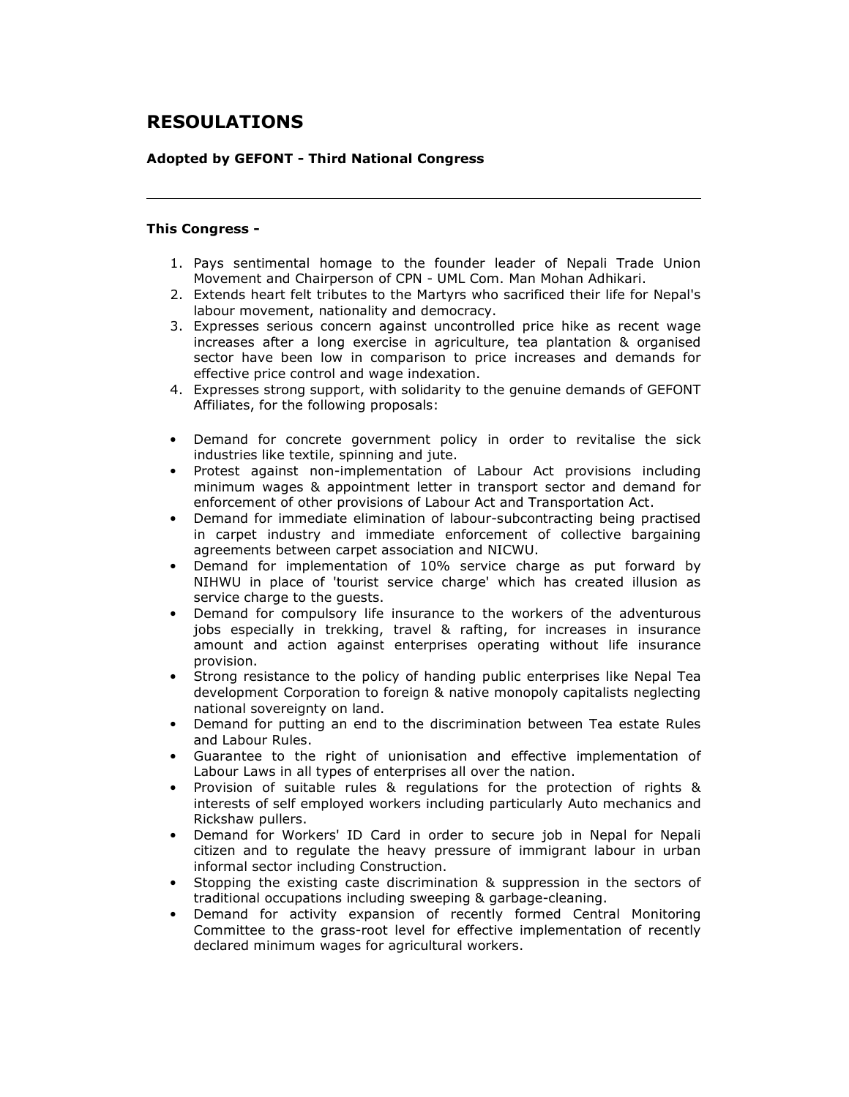# RESOULATIONS

#### Adopted by GEFONT - Third National Congress

#### This Congress -

- 1. Pays sentimental homage to the founder leader of Nepali Trade Union Movement and Chairperson of CPN - UML Com. Man Mohan Adhikari.
- 2. Extends heart felt tributes to the Martyrs who sacrificed their life for Nepal's labour movement, nationality and democracy.
- 3. Expresses serious concern against uncontrolled price hike as recent wage increases after a long exercise in agriculture, tea plantation & organised sector have been low in comparison to price increases and demands for effective price control and wage indexation.
- 4. Expresses strong support, with solidarity to the genuine demands of GEFONT Affiliates, for the following proposals:
- Demand for concrete government policy in order to revitalise the sick industries like textile, spinning and jute.
- Protest against non-implementation of Labour Act provisions including minimum wages & appointment letter in transport sector and demand for enforcement of other provisions of Labour Act and Transportation Act.
- Demand for immediate elimination of labour-subcontracting being practised in carpet industry and immediate enforcement of collective bargaining agreements between carpet association and NICWU.
- Demand for implementation of 10% service charge as put forward by NIHWU in place of 'tourist service charge' which has created illusion as service charge to the guests.
- Demand for compulsory life insurance to the workers of the adventurous jobs especially in trekking, travel & rafting, for increases in insurance amount and action against enterprises operating without life insurance provision.
- Strong resistance to the policy of handing public enterprises like Nepal Tea development Corporation to foreign & native monopoly capitalists neglecting national sovereignty on land.
- Demand for putting an end to the discrimination between Tea estate Rules and Labour Rules.
- Guarantee to the right of unionisation and effective implementation of Labour Laws in all types of enterprises all over the nation.
- Provision of suitable rules & regulations for the protection of rights & interests of self employed workers including particularly Auto mechanics and Rickshaw pullers.
- Demand for Workers' ID Card in order to secure job in Nepal for Nepali citizen and to regulate the heavy pressure of immigrant labour in urban informal sector including Construction.
- Stopping the existing caste discrimination & suppression in the sectors of traditional occupations including sweeping & garbage-cleaning.
- Demand for activity expansion of recently formed Central Monitoring Committee to the grass-root level for effective implementation of recently declared minimum wages for agricultural workers.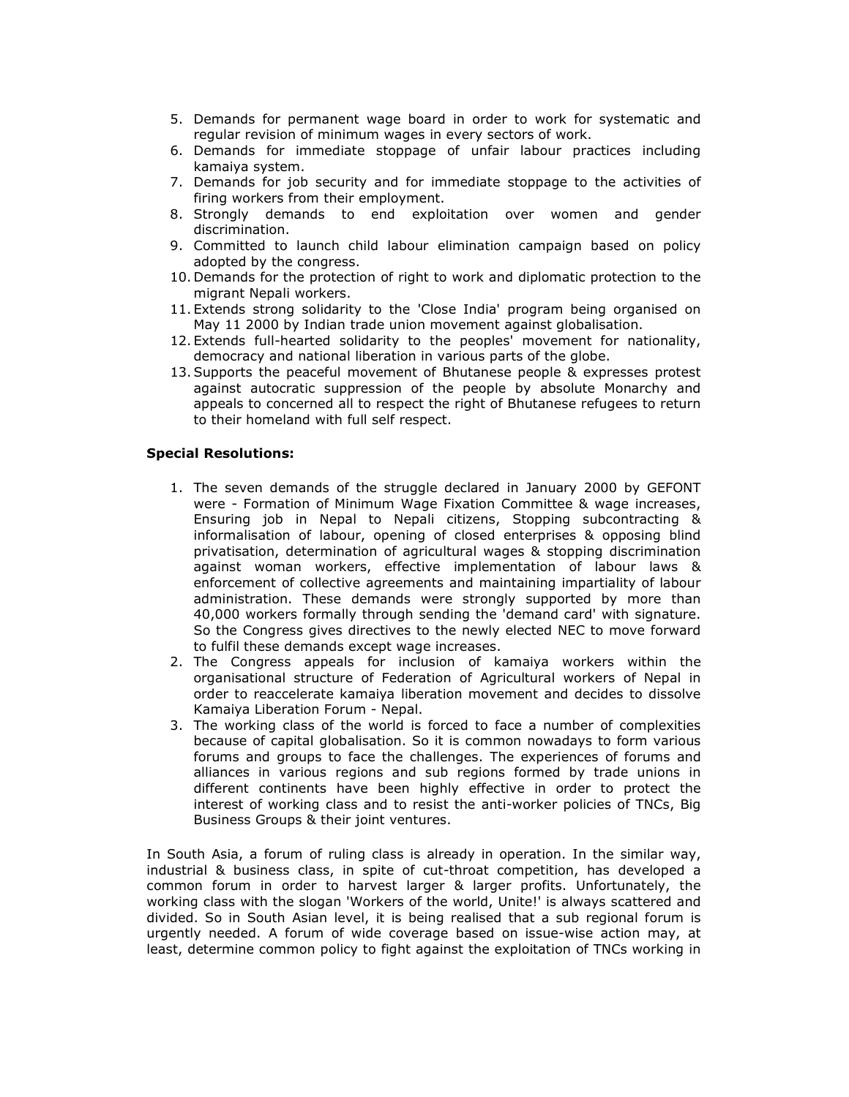- 5. Demands for permanent wage board in order to work for systematic and regular revision of minimum wages in every sectors of work.
- 6. Demands for immediate stoppage of unfair labour practices including kamaiya system.
- 7. Demands for job security and for immediate stoppage to the activities of firing workers from their employment.
- 8. Strongly demands to end exploitation over women and gender discrimination.
- 9. Committed to launch child labour elimination campaign based on policy adopted by the congress.
- 10. Demands for the protection of right to work and diplomatic protection to the migrant Nepali workers.
- 11. Extends strong solidarity to the 'Close India' program being organised on May 11 2000 by Indian trade union movement against globalisation.
- 12. Extends full-hearted solidarity to the peoples' movement for nationality, democracy and national liberation in various parts of the globe.
- 13.Supports the peaceful movement of Bhutanese people & expresses protest against autocratic suppression of the people by absolute Monarchy and appeals to concerned all to respect the right of Bhutanese refugees to return to their homeland with full self respect.

#### Special Resolutions:

- 1. The seven demands of the struggle declared in January 2000 by GEFONT were - Formation of Minimum Wage Fixation Committee & wage increases, Ensuring job in Nepal to Nepali citizens, Stopping subcontracting & informalisation of labour, opening of closed enterprises & opposing blind privatisation, determination of agricultural wages & stopping discrimination against woman workers, effective implementation of labour laws & enforcement of collective agreements and maintaining impartiality of labour administration. These demands were strongly supported by more than 40,000 workers formally through sending the 'demand card' with signature. So the Congress gives directives to the newly elected NEC to move forward to fulfil these demands except wage increases.
- 2. The Congress appeals for inclusion of kamaiya workers within the organisational structure of Federation of Agricultural workers of Nepal in order to reaccelerate kamaiya liberation movement and decides to dissolve Kamaiya Liberation Forum - Nepal.
- 3. The working class of the world is forced to face a number of complexities because of capital globalisation. So it is common nowadays to form various forums and groups to face the challenges. The experiences of forums and alliances in various regions and sub regions formed by trade unions in different continents have been highly effective in order to protect the interest of working class and to resist the anti-worker policies of TNCs, Big Business Groups & their joint ventures.

In South Asia, a forum of ruling class is already in operation. In the similar way, industrial & business class, in spite of cut-throat competition, has developed a common forum in order to harvest larger & larger profits. Unfortunately, the working class with the slogan 'Workers of the world, Unite!' is always scattered and divided. So in South Asian level, it is being realised that a sub regional forum is urgently needed. A forum of wide coverage based on issue-wise action may, at least, determine common policy to fight against the exploitation of TNCs working in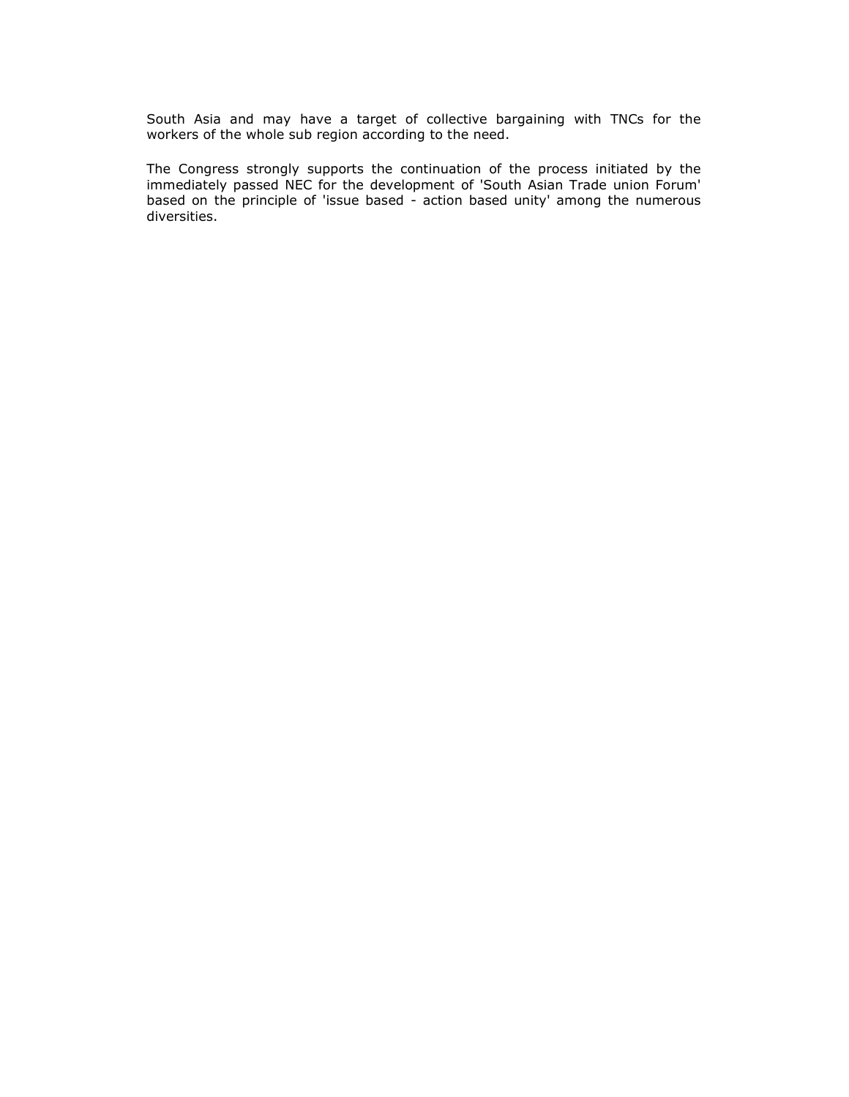South Asia and may have a target of collective bargaining with TNCs for the workers of the whole sub region according to the need.

The Congress strongly supports the continuation of the process initiated by the immediately passed NEC for the development of 'South Asian Trade union Forum' based on the principle of 'issue based - action based unity' among the numerous diversities.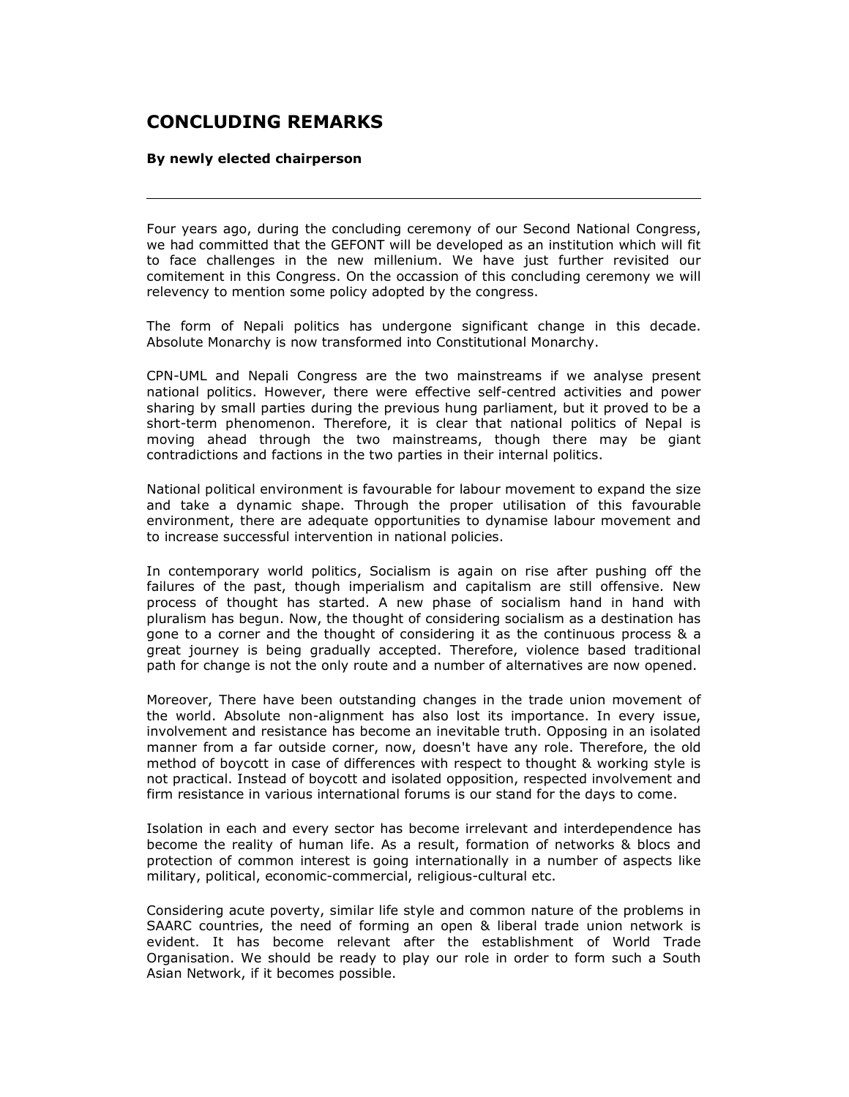# CONCLUDING REMARKS

#### By newly elected chairperson

Four years ago, during the concluding ceremony of our Second National Congress, we had committed that the GEFONT will be developed as an institution which will fit to face challenges in the new millenium. We have just further revisited our comitement in this Congress. On the occassion of this concluding ceremony we will relevency to mention some policy adopted by the congress.

The form of Nepali politics has undergone significant change in this decade. Absolute Monarchy is now transformed into Constitutional Monarchy.

CPN-UML and Nepali Congress are the two mainstreams if we analyse present national politics. However, there were effective self-centred activities and power sharing by small parties during the previous hung parliament, but it proved to be a short-term phenomenon. Therefore, it is clear that national politics of Nepal is moving ahead through the two mainstreams, though there may be giant contradictions and factions in the two parties in their internal politics.

National political environment is favourable for labour movement to expand the size and take a dynamic shape. Through the proper utilisation of this favourable environment, there are adequate opportunities to dynamise labour movement and to increase successful intervention in national policies.

In contemporary world politics, Socialism is again on rise after pushing off the failures of the past, though imperialism and capitalism are still offensive. New process of thought has started. A new phase of socialism hand in hand with pluralism has begun. Now, the thought of considering socialism as a destination has gone to a corner and the thought of considering it as the continuous process & a great journey is being gradually accepted. Therefore, violence based traditional path for change is not the only route and a number of alternatives are now opened.

Moreover, There have been outstanding changes in the trade union movement of the world. Absolute non-alignment has also lost its importance. In every issue, involvement and resistance has become an inevitable truth. Opposing in an isolated manner from a far outside corner, now, doesn't have any role. Therefore, the old method of boycott in case of differences with respect to thought & working style is not practical. Instead of boycott and isolated opposition, respected involvement and firm resistance in various international forums is our stand for the days to come.

Isolation in each and every sector has become irrelevant and interdependence has become the reality of human life. As a result, formation of networks & blocs and protection of common interest is going internationally in a number of aspects like military, political, economic-commercial, religious-cultural etc.

Considering acute poverty, similar life style and common nature of the problems in SAARC countries, the need of forming an open & liberal trade union network is evident. It has become relevant after the establishment of World Trade Organisation. We should be ready to play our role in order to form such a South Asian Network, if it becomes possible.